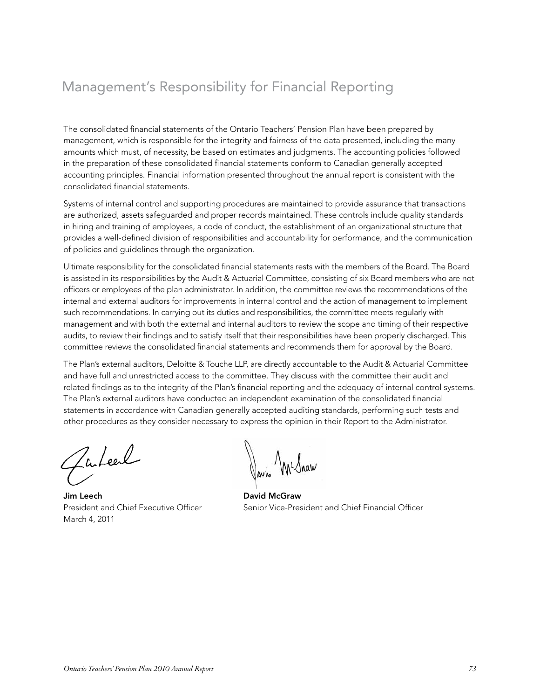## Management's Responsibility for Financial Reporting

The consolidated financial statements of the Ontario Teachers' Pension Plan have been prepared by management, which is responsible for the integrity and fairness of the data presented, including the many amounts which must, of necessity, be based on estimates and judgments. The accounting policies followed in the preparation of these consolidated financial statements conform to Canadian generally accepted accounting principles. Financial information presented throughout the annual report is consistent with the consolidated financial statements.

Systems of internal control and supporting procedures are maintained to provide assurance that transactions are authorized, assets safeguarded and proper records maintained. These controls include quality standards in hiring and training of employees, a code of conduct, the establishment of an organizational structure that provides a well-defined division of responsibilities and accountability for performance, and the communication of policies and guidelines through the organization.

Ultimate responsibility for the consolidated financial statements rests with the members of the Board. The Board is assisted in its responsibilities by the Audit & Actuarial Committee, consisting of six Board members who are not officers or employees of the plan administrator. In addition, the committee reviews the recommendations of the internal and external auditors for improvements in internal control and the action of management to implement such recommendations. In carrying out its duties and responsibilities, the committee meets regularly with management and with both the external and internal auditors to review the scope and timing of their respective audits, to review their findings and to satisfy itself that their responsibilities have been properly discharged. This committee reviews the consolidated financial statements and recommends them for approval by the Board.

The Plan's external auditors, Deloitte & Touche LLP, are directly accountable to the Audit & Actuarial Committee and have full and unrestricted access to the committee. They discuss with the committee their audit and related findings as to the integrity of the Plan's financial reporting and the adequacy of internal control systems. The Plan's external auditors have conducted an independent examination of the consolidated financial statements in accordance with Canadian generally accepted auditing standards, performing such tests and other procedures as they consider necessary to express the opinion in their Report to the Administrator.

Juleel

Jim Leech David McGraw March 4, 2011

Ini McJnaw

President and Chief Executive Officer Senior Vice-President and Chief Financial Officer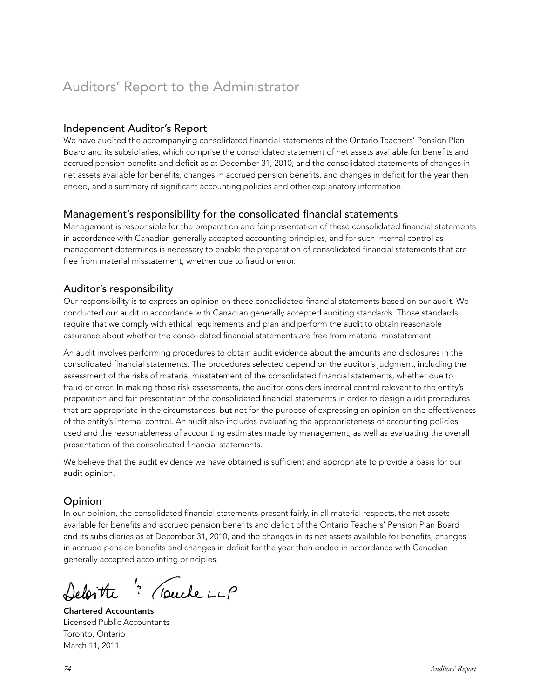## Auditors' Report to the Administrator

## Independent Auditor's Report

We have audited the accompanying consolidated financial statements of the Ontario Teachers' Pension Plan Board and its subsidiaries, which comprise the consolidated statement of net assets available for benefits and accrued pension benefits and deficit as at December 31, 2010, and the consolidated statements of changes in net assets available for benefits, changes in accrued pension benefits, and changes in deficit for the year then ended, and a summary of significant accounting policies and other explanatory information.

## Management's responsibility for the consolidated financial statements

Management is responsible for the preparation and fair presentation of these consolidated financial statements in accordance with Canadian generally accepted accounting principles, and for such internal control as management determines is necessary to enable the preparation of consolidated financial statements that are free from material misstatement, whether due to fraud or error.

## Auditor's responsibility

Our responsibility is to express an opinion on these consolidated financial statements based on our audit. We conducted our audit in accordance with Canadian generally accepted auditing standards. Those standards require that we comply with ethical requirements and plan and perform the audit to obtain reasonable assurance about whether the consolidated financial statements are free from material misstatement.

An audit involves performing procedures to obtain audit evidence about the amounts and disclosures in the consolidated financial statements. The procedures selected depend on the auditor's judgment, including the assessment of the risks of material misstatement of the consolidated financial statements, whether due to fraud or error. In making those risk assessments, the auditor considers internal control relevant to the entity's preparation and fair presentation of the consolidated financial statements in order to design audit procedures that are appropriate in the circumstances, but not for the purpose of expressing an opinion on the effectiveness of the entity's internal control. An audit also includes evaluating the appropriateness of accounting policies used and the reasonableness of accounting estimates made by management, as well as evaluating the overall presentation of the consolidated financial statements.

We believe that the audit evidence we have obtained is sufficient and appropriate to provide a basis for our audit opinion.

## Opinion

In our opinion, the consolidated financial statements present fairly, in all material respects, the net assets available for benefits and accrued pension benefits and deficit of the Ontario Teachers' Pension Plan Board and its subsidiaries as at December 31, 2010, and the changes in its net assets available for benefits, changes in accrued pension benefits and changes in deficit for the year then ended in accordance with Canadian generally accepted accounting principles.

Deloitte ? Touche LLP

Chartered Accountants Licensed Public Accountants Toronto, Ontario March 11, 2011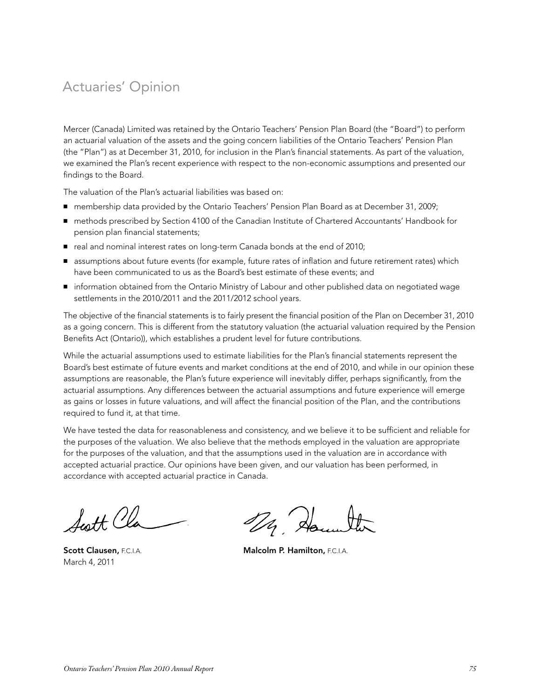## Actuaries' Opinion

Mercer (Canada) Limited was retained by the Ontario Teachers' Pension Plan Board (the "Board") to perform an actuarial valuation of the assets and the going concern liabilities of the Ontario Teachers' Pension Plan (the "Plan") as at December 31, 2010, for inclusion in the Plan's financial statements. As part of the valuation, we examined the Plan's recent experience with respect to the non-economic assumptions and presented our findings to the Board.

The valuation of the Plan's actuarial liabilities was based on:

- membership data provided by the Ontario Teachers' Pension Plan Board as at December 31, 2009;
- methods prescribed by Section 4100 of the Canadian Institute of Chartered Accountants' Handbook for pension plan financial statements;
- n real and nominal interest rates on long-term Canada bonds at the end of 2010;
- n assumptions about future events (for example, future rates of inflation and future retirement rates) which have been communicated to us as the Board's best estimate of these events; and
- niformation obtained from the Ontario Ministry of Labour and other published data on negotiated wage settlements in the 2010/2011 and the 2011/2012 school years.

The objective of the financial statements is to fairly present the financial position of the Plan on December 31, 2010 as a going concern. This is different from the statutory valuation (the actuarial valuation required by the Pension Benefits Act (Ontario)), which establishes a prudent level for future contributions.

While the actuarial assumptions used to estimate liabilities for the Plan's financial statements represent the Board's best estimate of future events and market conditions at the end of 2010, and while in our opinion these assumptions are reasonable, the Plan's future experience will inevitably differ, perhaps significantly, from the actuarial assumptions. Any differences between the actuarial assumptions and future experience will emerge as gains or losses in future valuations, and will affect the financial position of the Plan, and the contributions required to fund it, at that time.

We have tested the data for reasonableness and consistency, and we believe it to be sufficient and reliable for the purposes of the valuation. We also believe that the methods employed in the valuation are appropriate for the purposes of the valuation, and that the assumptions used in the valuation are in accordance with accepted actuarial practice. Our opinions have been given, and our valuation has been performed, in accordance with accepted actuarial practice in Canada.

Seott Cl

March 4, 2011

 $\mathbb{Z}_4$  to

Scott Clausen, F.C.I.A. **Malcolm P. Hamilton, F.C.I.A.**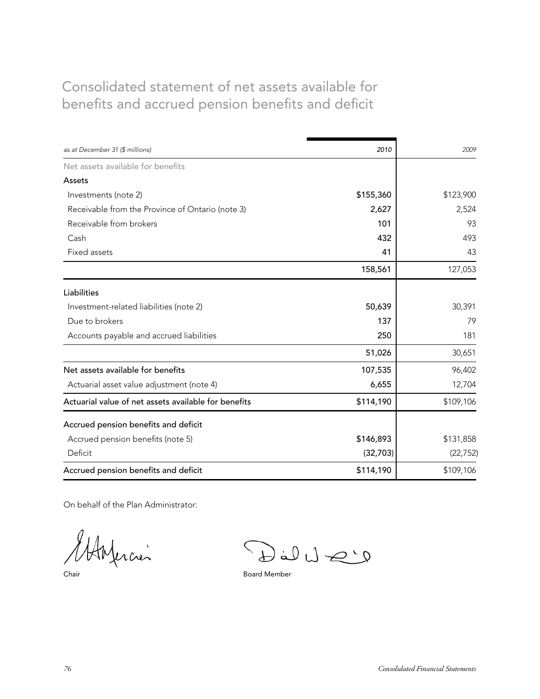## Consolidated statement of net assets available for benefits and accrued pension benefits and deficit

| as at December 31 (\$ millions)                      | 2010      | 2009      |
|------------------------------------------------------|-----------|-----------|
| Net assets available for benefits                    |           |           |
| Assets                                               |           |           |
| Investments (note 2)                                 | \$155,360 | \$123,900 |
| Receivable from the Province of Ontario (note 3)     | 2,627     | 2,524     |
| Receivable from brokers                              | 101       | 93        |
| Cash                                                 | 432       | 493       |
| Fixed assets                                         | 41        | 43        |
|                                                      | 158,561   | 127,053   |
| Liabilities                                          |           |           |
| Investment-related liabilities (note 2)              | 50,639    | 30,391    |
| Due to brokers                                       | 137       | 79        |
| Accounts payable and accrued liabilities             | 250       | 181       |
|                                                      | 51,026    | 30,651    |
| Net assets available for benefits                    | 107,535   | 96,402    |
| Actuarial asset value adjustment (note 4)            | 6,655     | 12,704    |
| Actuarial value of net assets available for benefits | \$114,190 | \$109,106 |
| Accrued pension benefits and deficit                 |           |           |
| Accrued pension benefits (note 5)                    | \$146,893 | \$131,858 |
| Deficit                                              | (32, 703) | (22, 752) |
| Accrued pension benefits and deficit                 | \$114,190 | \$109,106 |

On behalf of the Plan Administrator:

MANfercio

 $D$ فالما محدر

Chair **Board Member**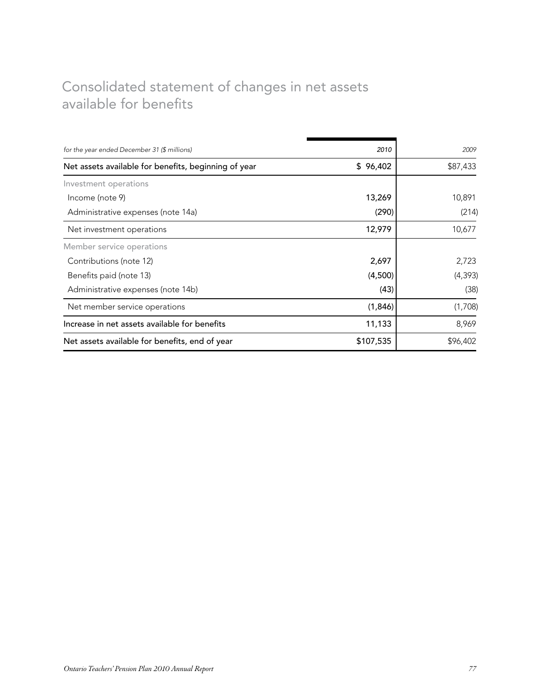## Consolidated statement of changes in net assets available for benefits

| for the year ended December 31 (\$ millions)         | 2010      | 2009     |
|------------------------------------------------------|-----------|----------|
| Net assets available for benefits, beginning of year | \$96,402  | \$87,433 |
| Investment operations                                |           |          |
| Income (note 9)                                      | 13,269    | 10,891   |
| Administrative expenses (note 14a)                   | (290)     | (214)    |
| Net investment operations                            | 12,979    | 10,677   |
| Member service operations                            |           |          |
| Contributions (note 12)                              | 2,697     | 2,723    |
| Benefits paid (note 13)                              | (4,500)   | (4, 393) |
| Administrative expenses (note 14b)                   | (43)      | (38)     |
| Net member service operations                        | (1,846)   | (1,708)  |
| Increase in net assets available for benefits        | 11,133    | 8,969    |
| Net assets available for benefits, end of year       | \$107,535 | \$96,402 |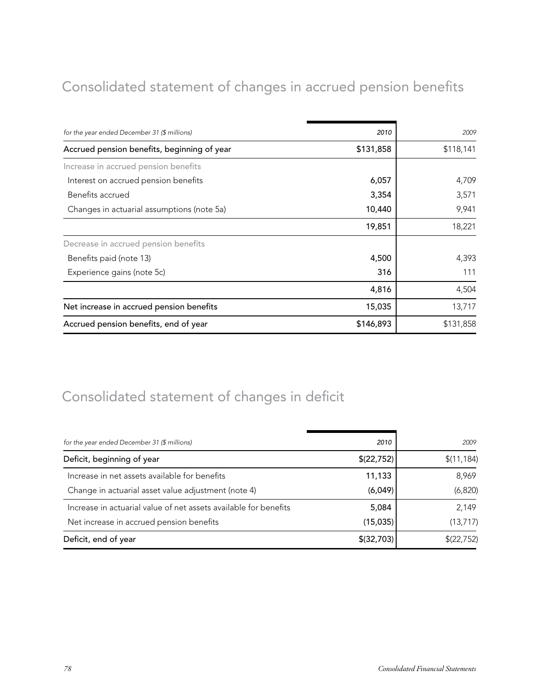# Consolidated statement of changes in accrued pension benefits

| for the year ended December 31 (\$ millions) | 2010      | 2009      |
|----------------------------------------------|-----------|-----------|
| Accrued pension benefits, beginning of year  | \$131,858 | \$118,141 |
| Increase in accrued pension benefits         |           |           |
| Interest on accrued pension benefits         | 6,057     | 4,709     |
| Benefits accrued                             | 3,354     | 3,571     |
| Changes in actuarial assumptions (note 5a)   | 10,440    | 9,941     |
|                                              | 19,851    | 18,221    |
| Decrease in accrued pension benefits         |           |           |
| Benefits paid (note 13)                      | 4,500     | 4,393     |
| Experience gains (note 5c)                   | 316       | 111       |
|                                              | 4,816     | 4,504     |
| Net increase in accrued pension benefits     | 15,035    | 13,717    |
| Accrued pension benefits, end of year        | \$146,893 | \$131,858 |

## Consolidated statement of changes in deficit

| for the year ended December 31 (\$ millions)                     | 2010       | 2009        |
|------------------------------------------------------------------|------------|-------------|
| Deficit, beginning of year                                       | \$(22,752) | \$(11, 184) |
| Increase in net assets available for benefits                    | 11,133     | 8,969       |
| Change in actuarial asset value adjustment (note 4)              | (6,049)    | (6, 820)    |
| Increase in actuarial value of net assets available for benefits | 5,084      | 2,149       |
| Net increase in accrued pension benefits                         | (15, 035)  | (13, 717)   |
| Deficit, end of year                                             | \$(32,703) | \$(22,752)  |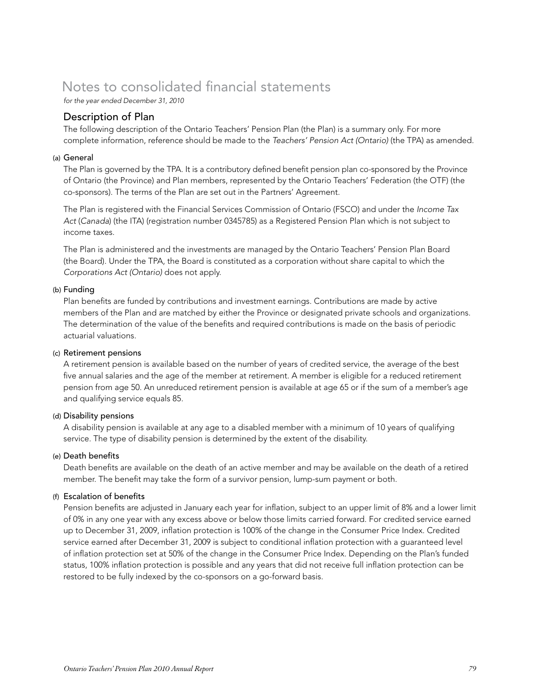## Notes to consolidated financial statements

*for the year ended December 31, 2010*

### Description of Plan

The following description of the Ontario Teachers' Pension Plan (the Plan) is a summary only. For more complete information, reference should be made to the *Teachers' Pension Act (Ontario)* (the TPA) as amended.

#### (a) General

The Plan is governed by the TPA. It is a contributory defined benefit pension plan co-sponsored by the Province of Ontario (the Province) and Plan members, represented by the Ontario Teachers' Federation (the OTF) (the co-sponsors). The terms of the Plan are set out in the Partners' Agreement.

The Plan is registered with the Financial Services Commission of Ontario (FSCO) and under the *Income Tax Act* (*Canada*) (the ITA) (registration number 0345785) as a Registered Pension Plan which is not subject to income taxes.

The Plan is administered and the investments are managed by the Ontario Teachers' Pension Plan Board (the Board). Under the TPA, the Board is constituted as a corporation without share capital to which the *Corporations Act (Ontario)* does not apply.

#### (b) Funding

Plan benefits are funded by contributions and investment earnings. Contributions are made by active members of the Plan and are matched by either the Province or designated private schools and organizations. The determination of the value of the benefits and required contributions is made on the basis of periodic actuarial valuations.

#### (c) Retirement pensions

A retirement pension is available based on the number of years of credited service, the average of the best five annual salaries and the age of the member at retirement. A member is eligible for a reduced retirement pension from age 50. An unreduced retirement pension is available at age 65 or if the sum of a member's age and qualifying service equals 85.

#### (d) Disability pensions

A disability pension is available at any age to a disabled member with a minimum of 10 years of qualifying service. The type of disability pension is determined by the extent of the disability.

#### (e) Death benefits

Death benefits are available on the death of an active member and may be available on the death of a retired member. The benefit may take the form of a survivor pension, lump-sum payment or both.

#### (f) Escalation of benefits

Pension benefits are adjusted in January each year for inflation, subject to an upper limit of 8% and a lower limit of 0% in any one year with any excess above or below those limits carried forward. For credited service earned up to December 31, 2009, inflation protection is 100% of the change in the Consumer Price Index. Credited service earned after December 31, 2009 is subject to conditional inflation protection with a guaranteed level of inflation protection set at 50% of the change in the Consumer Price Index. Depending on the Plan's funded status, 100% inflation protection is possible and any years that did not receive full inflation protection can be restored to be fully indexed by the co-sponsors on a go-forward basis.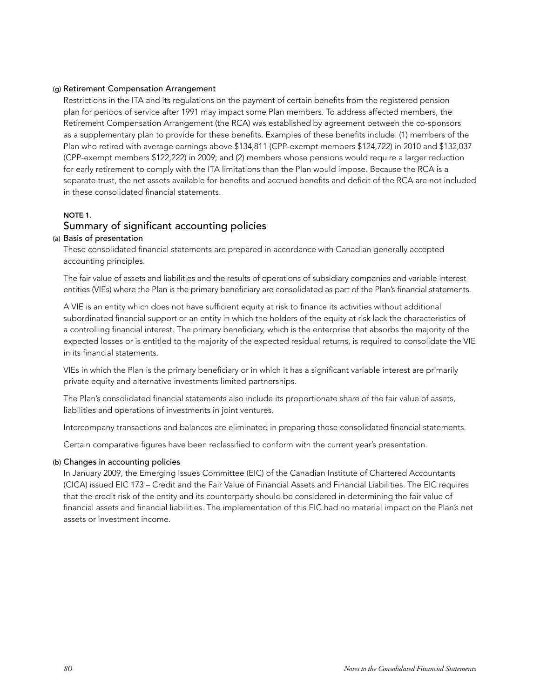#### (g) Retirement Compensation Arrangement

Restrictions in the ITA and its regulations on the payment of certain benefits from the registered pension plan for periods of service after 1991 may impact some Plan members. To address affected members, the Retirement Compensation Arrangement (the RCA) was established by agreement between the co-sponsors as a supplementary plan to provide for these benefits. Examples of these benefits include: (1) members of the Plan who retired with average earnings above \$134,811 (CPP-exempt members \$124,722) in 2010 and \$132,037 (CPP-exempt members \$122,222) in 2009; and (2) members whose pensions would require a larger reduction for early retirement to comply with the ITA limitations than the Plan would impose. Because the RCA is a separate trust, the net assets available for benefits and accrued benefits and deficit of the RCA are not included in these consolidated financial statements.

#### NOTE 1.

## Summary of significant accounting policies

#### (a) Basis of presentation

These consolidated financial statements are prepared in accordance with Canadian generally accepted accounting principles.

The fair value of assets and liabilities and the results of operations of subsidiary companies and variable interest entities (VIEs) where the Plan is the primary beneficiary are consolidated as part of the Plan's financial statements.

A VIE is an entity which does not have sufficient equity at risk to finance its activities without additional subordinated financial support or an entity in which the holders of the equity at risk lack the characteristics of a controlling financial interest. The primary beneficiary, which is the enterprise that absorbs the majority of the expected losses or is entitled to the majority of the expected residual returns, is required to consolidate the VIE in its financial statements.

VIEs in which the Plan is the primary beneficiary or in which it has a significant variable interest are primarily private equity and alternative investments limited partnerships.

The Plan's consolidated financial statements also include its proportionate share of the fair value of assets, liabilities and operations of investments in joint ventures.

Intercompany transactions and balances are eliminated in preparing these consolidated financial statements.

Certain comparative figures have been reclassified to conform with the current year's presentation.

#### (b) Changes in accounting policies

In January 2009, the Emerging Issues Committee (EIC) of the Canadian Institute of Chartered Accountants (CICA) issued EIC 173 – Credit and the Fair Value of Financial Assets and Financial Liabilities. The EIC requires that the credit risk of the entity and its counterparty should be considered in determining the fair value of financial assets and financial liabilities. The implementation of this EIC had no material impact on the Plan's net assets or investment income.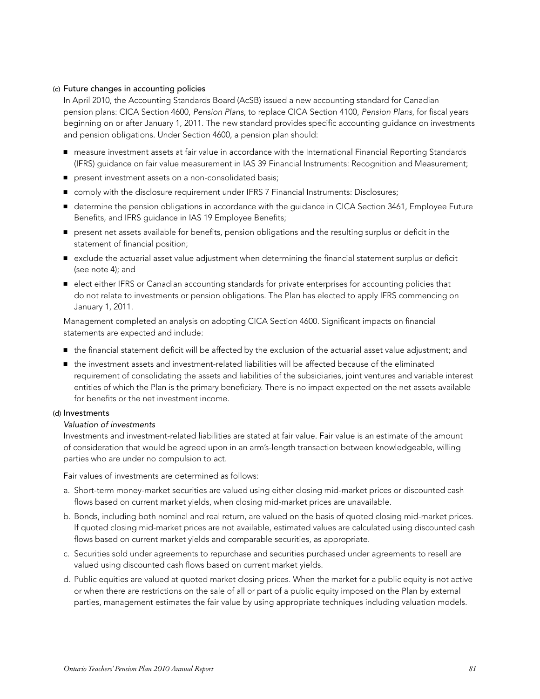#### (c) Future changes in accounting policies

In April 2010, the Accounting Standards Board (AcSB) issued a new accounting standard for Canadian pension plans: CICA Section 4600, *Pension Plans*, to replace CICA Section 4100, *Pension Plans*, for fiscal years beginning on or after January 1, 2011. The new standard provides specific accounting guidance on investments and pension obligations. Under Section 4600, a pension plan should:

- <sup>n</sup> measure investment assets at fair value in accordance with the International Financial Reporting Standards (IFRS) guidance on fair value measurement in IAS 39 Financial Instruments: Recognition and Measurement;
- **n** present investment assets on a non-consolidated basis;
- comply with the disclosure requirement under IFRS 7 Financial Instruments: Disclosures;
- determine the pension obligations in accordance with the guidance in CICA Section 3461, Employee Future Benefits, and IFRS guidance in IAS 19 Employee Benefits;
- <sup>n</sup> present net assets available for benefits, pension obligations and the resulting surplus or deficit in the statement of financial position;
- <sup>n</sup> exclude the actuarial asset value adjustment when determining the financial statement surplus or deficit (see note 4); and
- elect either IFRS or Canadian accounting standards for private enterprises for accounting policies that do not relate to investments or pension obligations. The Plan has elected to apply IFRS commencing on January 1, 2011.

Management completed an analysis on adopting CICA Section 4600. Significant impacts on financial statements are expected and include:

- <sup>n</sup> the financial statement deficit will be affected by the exclusion of the actuarial asset value adjustment; and
- <sup>n</sup> the investment assets and investment-related liabilities will be affected because of the eliminated requirement of consolidating the assets and liabilities of the subsidiaries, joint ventures and variable interest entities of which the Plan is the primary beneficiary. There is no impact expected on the net assets available for benefits or the net investment income.

#### (d) Investments

#### *Valuation of investments*

Investments and investment-related liabilities are stated at fair value. Fair value is an estimate of the amount of consideration that would be agreed upon in an arm's-length transaction between knowledgeable, willing parties who are under no compulsion to act.

Fair values of investments are determined as follows:

- a. Short-term money-market securities are valued using either closing mid-market prices or discounted cash flows based on current market yields, when closing mid-market prices are unavailable.
- b. Bonds, including both nominal and real return, are valued on the basis of quoted closing mid-market prices. If quoted closing mid-market prices are not available, estimated values are calculated using discounted cash flows based on current market yields and comparable securities, as appropriate.
- c. Securities sold under agreements to repurchase and securities purchased under agreements to resell are valued using discounted cash flows based on current market yields.
- d. Public equities are valued at quoted market closing prices. When the market for a public equity is not active or when there are restrictions on the sale of all or part of a public equity imposed on the Plan by external parties, management estimates the fair value by using appropriate techniques including valuation models.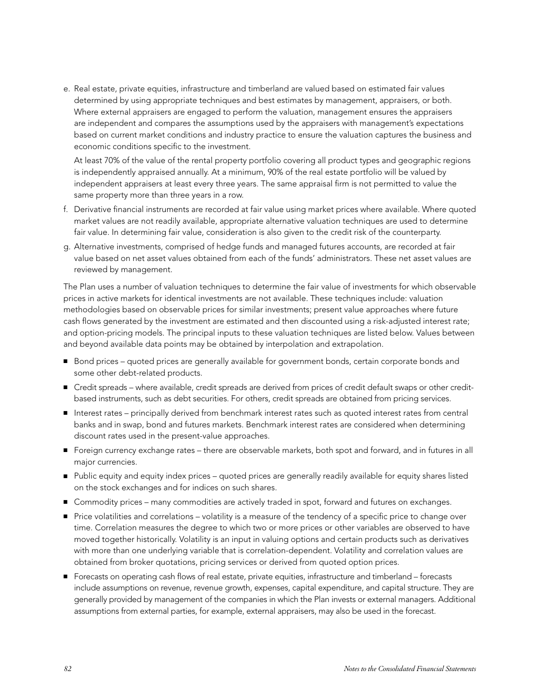e. Real estate, private equities, infrastructure and timberland are valued based on estimated fair values determined by using appropriate techniques and best estimates by management, appraisers, or both. Where external appraisers are engaged to perform the valuation, management ensures the appraisers are independent and compares the assumptions used by the appraisers with management's expectations based on current market conditions and industry practice to ensure the valuation captures the business and economic conditions specific to the investment.

At least 70% of the value of the rental property portfolio covering all product types and geographic regions is independently appraised annually. At a minimum, 90% of the real estate portfolio will be valued by independent appraisers at least every three years. The same appraisal firm is not permitted to value the same property more than three years in a row.

- f. Derivative financial instruments are recorded at fair value using market prices where available. Where quoted market values are not readily available, appropriate alternative valuation techniques are used to determine fair value. In determining fair value, consideration is also given to the credit risk of the counterparty.
- g. Alternative investments, comprised of hedge funds and managed futures accounts, are recorded at fair value based on net asset values obtained from each of the funds' administrators. These net asset values are reviewed by management.

The Plan uses a number of valuation techniques to determine the fair value of investments for which observable prices in active markets for identical investments are not available. These techniques include: valuation methodologies based on observable prices for similar investments; present value approaches where future cash flows generated by the investment are estimated and then discounted using a risk-adjusted interest rate; and option-pricing models. The principal inputs to these valuation techniques are listed below. Values between and beyond available data points may be obtained by interpolation and extrapolation.

- Bond prices quoted prices are generally available for government bonds, certain corporate bonds and some other debt-related products.
- <sup>n</sup> Credit spreads where available, credit spreads are derived from prices of credit default swaps or other creditbased instruments, such as debt securities. For others, credit spreads are obtained from pricing services.
- n Interest rates principally derived from benchmark interest rates such as quoted interest rates from central banks and in swap, bond and futures markets. Benchmark interest rates are considered when determining discount rates used in the present-value approaches.
- <sup>n</sup> Foreign currency exchange rates there are observable markets, both spot and forward, and in futures in all major currencies.
- <sup>n</sup> Public equity and equity index prices quoted prices are generally readily available for equity shares listed on the stock exchanges and for indices on such shares.
- Commodity prices many commodities are actively traded in spot, forward and futures on exchanges.
- <sup>n</sup> Price volatilities and correlations volatility is a measure of the tendency of a specific price to change over time. Correlation measures the degree to which two or more prices or other variables are observed to have moved together historically. Volatility is an input in valuing options and certain products such as derivatives with more than one underlying variable that is correlation-dependent. Volatility and correlation values are obtained from broker quotations, pricing services or derived from quoted option prices.
- Forecasts on operating cash flows of real estate, private equities, infrastructure and timberland forecasts include assumptions on revenue, revenue growth, expenses, capital expenditure, and capital structure. They are generally provided by management of the companies in which the Plan invests or external managers. Additional assumptions from external parties, for example, external appraisers, may also be used in the forecast.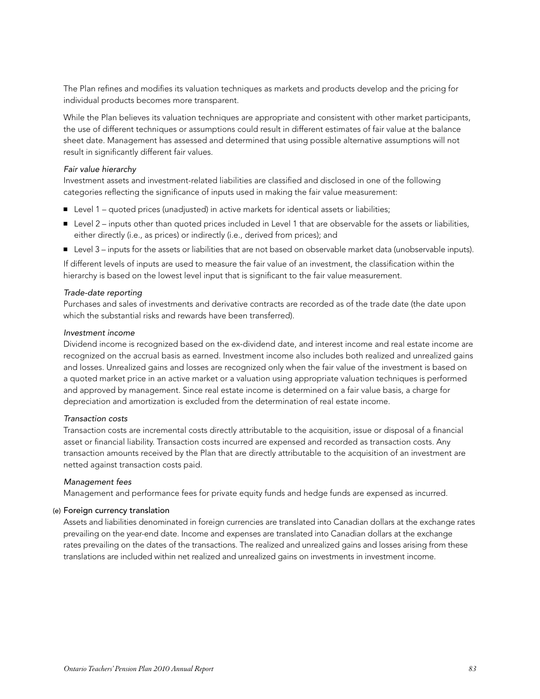The Plan refines and modifies its valuation techniques as markets and products develop and the pricing for individual products becomes more transparent.

While the Plan believes its valuation techniques are appropriate and consistent with other market participants, the use of different techniques or assumptions could result in different estimates of fair value at the balance sheet date. Management has assessed and determined that using possible alternative assumptions will not result in significantly different fair values.

#### *Fair value hierarchy*

Investment assets and investment-related liabilities are classified and disclosed in one of the following categories reflecting the significance of inputs used in making the fair value measurement:

- Level 1 quoted prices (unadjusted) in active markets for identical assets or liabilities;
- Level 2 inputs other than quoted prices included in Level 1 that are observable for the assets or liabilities, either directly (i.e., as prices) or indirectly (i.e., derived from prices); and
- Level 3 inputs for the assets or liabilities that are not based on observable market data (unobservable inputs).

If different levels of inputs are used to measure the fair value of an investment, the classification within the hierarchy is based on the lowest level input that is significant to the fair value measurement.

#### *Trade-date reporting*

Purchases and sales of investments and derivative contracts are recorded as of the trade date (the date upon which the substantial risks and rewards have been transferred).

#### *Investment income*

Dividend income is recognized based on the ex-dividend date, and interest income and real estate income are recognized on the accrual basis as earned. Investment income also includes both realized and unrealized gains and losses. Unrealized gains and losses are recognized only when the fair value of the investment is based on a quoted market price in an active market or a valuation using appropriate valuation techniques is performed and approved by management. Since real estate income is determined on a fair value basis, a charge for depreciation and amortization is excluded from the determination of real estate income.

#### *Transaction costs*

Transaction costs are incremental costs directly attributable to the acquisition, issue or disposal of a financial asset or financial liability. Transaction costs incurred are expensed and recorded as transaction costs. Any transaction amounts received by the Plan that are directly attributable to the acquisition of an investment are netted against transaction costs paid.

#### *Management fees*

Management and performance fees for private equity funds and hedge funds are expensed as incurred.

#### (e) Foreign currency translation

Assets and liabilities denominated in foreign currencies are translated into Canadian dollars at the exchange rates prevailing on the year-end date. Income and expenses are translated into Canadian dollars at the exchange rates prevailing on the dates of the transactions. The realized and unrealized gains and losses arising from these translations are included within net realized and unrealized gains on investments in investment income.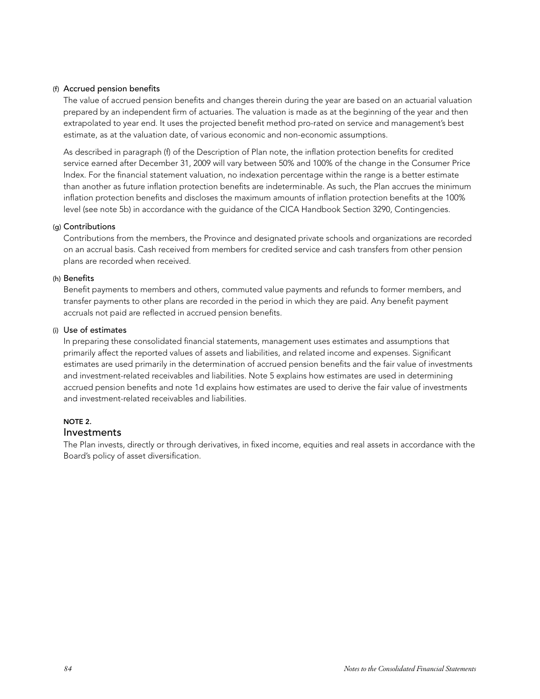#### (f) Accrued pension benefits

The value of accrued pension benefits and changes therein during the year are based on an actuarial valuation prepared by an independent firm of actuaries. The valuation is made as at the beginning of the year and then extrapolated to year end. It uses the projected benefit method pro-rated on service and management's best estimate, as at the valuation date, of various economic and non-economic assumptions.

As described in paragraph (f) of the Description of Plan note, the inflation protection benefits for credited service earned after December 31, 2009 will vary between 50% and 100% of the change in the Consumer Price Index. For the financial statement valuation, no indexation percentage within the range is a better estimate than another as future inflation protection benefits are indeterminable. As such, the Plan accrues the minimum inflation protection benefits and discloses the maximum amounts of inflation protection benefits at the 100% level (see note 5b) in accordance with the guidance of the CICA Handbook Section 3290, Contingencies.

#### (g) Contributions

Contributions from the members, the Province and designated private schools and organizations are recorded on an accrual basis. Cash received from members for credited service and cash transfers from other pension plans are recorded when received.

#### (h) Benefits

Benefit payments to members and others, commuted value payments and refunds to former members, and transfer payments to other plans are recorded in the period in which they are paid. Any benefit payment accruals not paid are reflected in accrued pension benefits.

#### (i) Use of estimates

In preparing these consolidated financial statements, management uses estimates and assumptions that primarily affect the reported values of assets and liabilities, and related income and expenses. Significant estimates are used primarily in the determination of accrued pension benefits and the fair value of investments and investment-related receivables and liabilities. Note 5 explains how estimates are used in determining accrued pension benefits and note 1d explains how estimates are used to derive the fair value of investments and investment-related receivables and liabilities.

## Note 2.

#### Investments

The Plan invests, directly or through derivatives, in fixed income, equities and real assets in accordance with the Board's policy of asset diversification.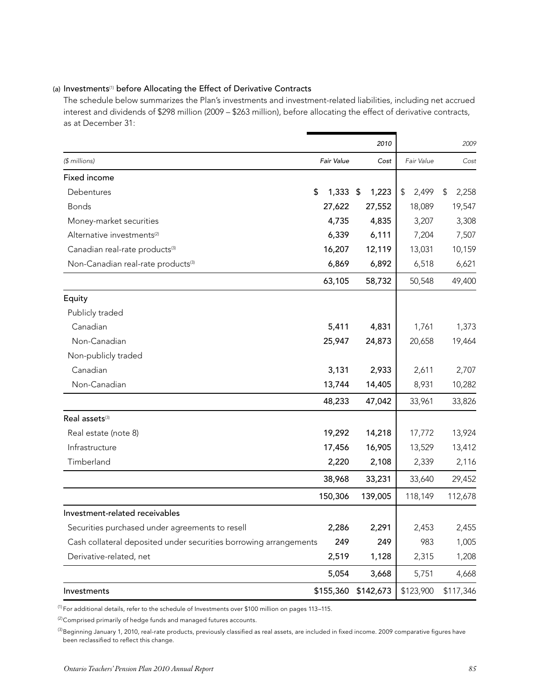#### (a) Investments<sup>(1)</sup> before Allocating the Effect of Derivative Contracts

The schedule below summarizes the Plan's investments and investment-related liabilities, including net accrued interest and dividends of \$298 million (2009 – \$263 million), before allocating the effect of derivative contracts, as at December 31:

|                                                                   |                   | 2010      |                        | 2009        |
|-------------------------------------------------------------------|-------------------|-----------|------------------------|-------------|
| (\$ millions)                                                     | <b>Fair Value</b> | Cost      | Fair Value             | Cost        |
| Fixed income                                                      |                   |           |                        |             |
| Debentures                                                        | $1,333$ \$<br>\$  | 1,223     | $\frac{1}{2}$<br>2,499 | \$<br>2,258 |
| <b>Bonds</b>                                                      | 27,622            | 27,552    | 18,089                 | 19,547      |
| Money-market securities                                           | 4,735             | 4,835     | 3,207                  | 3,308       |
| Alternative investments <sup>(2)</sup>                            | 6,339             | 6,111     | 7,204                  | 7,507       |
| Canadian real-rate products <sup>(3)</sup>                        | 16,207            | 12,119    | 13,031                 | 10,159      |
| Non-Canadian real-rate products <sup>(3)</sup>                    | 6,869             | 6,892     | 6,518                  | 6,621       |
|                                                                   | 63,105            | 58,732    | 50,548                 | 49,400      |
| Equity                                                            |                   |           |                        |             |
| Publicly traded                                                   |                   |           |                        |             |
| Canadian                                                          | 5,411             | 4,831     | 1,761                  | 1,373       |
| Non-Canadian                                                      | 25,947            | 24,873    | 20,658                 | 19,464      |
| Non-publicly traded                                               |                   |           |                        |             |
| Canadian                                                          | 3,131             | 2,933     | 2,611                  | 2,707       |
| Non-Canadian                                                      | 13,744            | 14,405    | 8,931                  | 10,282      |
|                                                                   | 48,233            | 47,042    | 33,961                 | 33,826      |
| Real assets <sup>(3)</sup>                                        |                   |           |                        |             |
| Real estate (note 8)                                              | 19,292            | 14,218    | 17,772                 | 13,924      |
| Infrastructure                                                    | 17,456            | 16,905    | 13,529                 | 13,412      |
| Timberland                                                        | 2,220             | 2,108     | 2,339                  | 2,116       |
|                                                                   | 38,968            | 33,231    | 33,640                 | 29,452      |
|                                                                   | 150,306           | 139,005   | 118,149                | 112,678     |
| Investment-related receivables                                    |                   |           |                        |             |
| Securities purchased under agreements to resell                   | 2,286             | 2,291     | 2,453                  | 2,455       |
| Cash collateral deposited under securities borrowing arrangements | 249               | 249       | 983                    | 1,005       |
| Derivative-related, net                                           | 2,519             | 1,128     | 2,315                  | 1,208       |
|                                                                   | 5,054             | 3,668     | 5,751                  | 4,668       |
| Investments                                                       | \$155,360         | \$142,673 | \$123,900              | \$117,346   |

(1)For additional details, refer to the schedule of Investments over \$100 million on pages 113–115.

 $^{(2)}$ Comprised primarily of hedge funds and managed futures accounts.

 $^{(3)}$ Beginning January 1, 2010, real-rate products, previously classified as real assets, are included in fixed income. 2009 comparative figures have been reclassified to reflect this change.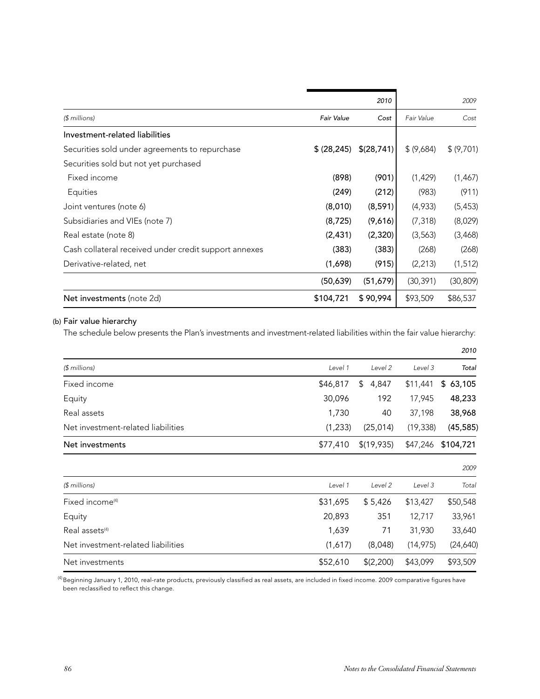|                                                       |                   | 2010        |            | 2009       |
|-------------------------------------------------------|-------------------|-------------|------------|------------|
| $$$ millions)                                         | <b>Fair Value</b> | Cost        | Fair Value | Cost       |
| Investment-related liabilities                        |                   |             |            |            |
| Securities sold under agreements to repurchase        | \$ (28, 245)      | \$(28, 741) | \$(9,684)  | \$ (9,701) |
| Securities sold but not yet purchased                 |                   |             |            |            |
| Fixed income                                          | (898)             | (901)       | (1,429)    | (1,467)    |
| Equities                                              | (249)             | (212)       | (983)      | (911)      |
| Joint ventures (note 6)                               | (8,010)           | (8,591)     | (4,933)    | (5,453)    |
| Subsidiaries and VIEs (note 7)                        | (8,725)           | (9,616)     | (7, 318)   | (8,029)    |
| Real estate (note 8)                                  | (2, 431)          | (2,320)     | (3,563)    | (3,468)    |
| Cash collateral received under credit support annexes | (383)             | (383)       | (268)      | (268)      |
| Derivative-related, net                               | (1,698)           | (915)       | (2, 213)   | (1, 512)   |
|                                                       | (50,639)          | (51,679)    | (30, 391)  | (30, 809)  |
| Net investments (note 2d)                             | \$104,721         | \$90,994    | \$93,509   | \$86,537   |

## (b) Fair value hierarchy

The schedule below presents the Plan's investments and investment-related liabilities within the fair value hierarchy:

|                                    |          |             |           | 2010      |
|------------------------------------|----------|-------------|-----------|-----------|
| (\$ millions)                      | Level 1  | Level 2     | Level 3   | Total     |
| Fixed income                       | \$46,817 | \$<br>4,847 | \$11,441  | \$63,105  |
| Equity                             | 30,096   | 192         | 17,945    | 48,233    |
| Real assets                        | 1,730    | 40          | 37,198    | 38,968    |
| Net investment-related liabilities | (1,233)  | (25, 014)   | (19, 338) | (45, 585) |
| Net investments                    | \$77,410 | \$(19,935)  | \$47,246  | \$104,721 |
|                                    |          |             |           | 2009      |
| $$$ millions)                      | Level 1  | Level 2     | Level 3   | Total     |
| $Fixed$ income $(4)$               | \$31,695 | \$5,426     | \$13,427  | \$50,548  |
| Equity                             | 20,893   | 351         | 12,717    | 33,961    |
| Real assets <sup>(4)</sup>         | 1,639    | 71          | 31,930    | 33,640    |
| Net investment-related liabilities | (1,617)  | (8,048)     | (14, 975) | (24,640)  |
| Net investments                    | \$52,610 | \$(2,200)   | \$43,099  | \$93,509  |

 $^{(4)}$ Beginning January 1, 2010, real-rate products, previously classified as real assets, are included in fixed income. 2009 comparative figures have been reclassified to reflect this change.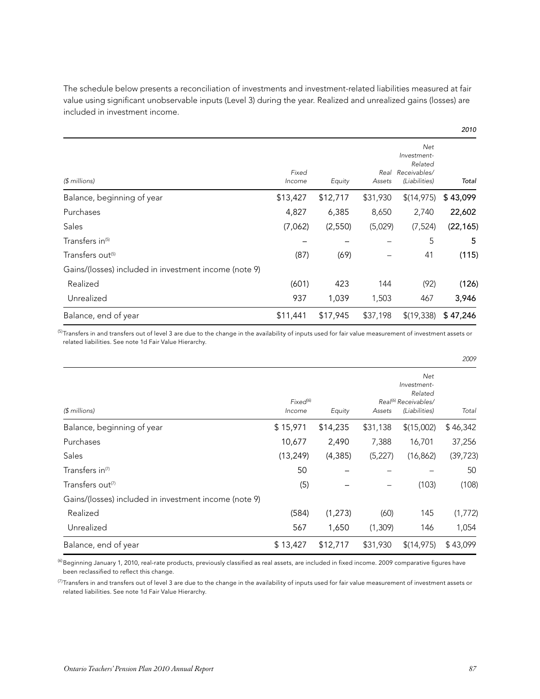The schedule below presents a reconciliation of investments and investment-related liabilities measured at fair value using significant unobservable inputs (Level 3) during the year. Realized and unrealized gains (losses) are included in investment income.

 *2010*

| $$$ millions)                                         | Fixed<br>Income | Equity   | Real<br>Assets | Net<br>Investment-<br>Related<br>Receivables/<br>(Liabilities) | Total     |
|-------------------------------------------------------|-----------------|----------|----------------|----------------------------------------------------------------|-----------|
| Balance, beginning of year                            | \$13,427        | \$12,717 | \$31,930       | \$(14,975)                                                     | \$43,099  |
| Purchases                                             | 4,827           | 6,385    | 8,650          | 2,740                                                          | 22,602    |
| Sales                                                 | (7,062)         | (2,550)  | (5,029)        | (7, 524)                                                       | (22, 165) |
| Transfers in <sup>(5)</sup>                           |                 |          |                | 5                                                              | 5         |
| Transfers out <sup>(5)</sup>                          | (87)            | (69)     |                | 41                                                             | (115)     |
| Gains/(losses) included in investment income (note 9) |                 |          |                |                                                                |           |
| Realized                                              | (601)           | 423      | 144            | (92)                                                           | (126)     |
| Unrealized                                            | 937             | 1,039    | 1,503          | 467                                                            | 3,946     |
| Balance, end of year                                  | \$11,441        | \$17,945 | \$37,198       | \$(19, 338)                                                    | \$47,246  |

 $^{(5)}$ Transfers in and transfers out of level 3 are due to the change in the availability of inputs used for fair value measurement of investment assets or related liabilities. See note 1d Fair Value Hierarchy.

|                                                       |           |                                                                                              |          |            | 2009      |
|-------------------------------------------------------|-----------|----------------------------------------------------------------------------------------------|----------|------------|-----------|
| $Fixed^{(6)}$<br>(\$ millions)<br>Equity<br>Income    |           | Net<br>Investment-<br>Related<br>Real <sup>(6)</sup> Receivables/<br>(Liabilities)<br>Assets |          |            | Total     |
| Balance, beginning of year                            | \$15,971  | \$14,235                                                                                     | \$31,138 | \$(15,002) | \$46,342  |
| Purchases                                             | 10,677    | 2,490                                                                                        | 7,388    | 16,701     | 37,256    |
| Sales                                                 | (13, 249) | (4, 385)                                                                                     | (5, 227) | (16, 862)  | (39, 723) |
| Transfers in <sup><math>\sigma</math></sup>           | 50        |                                                                                              |          |            | 50        |
| Transfers out <sup>(7)</sup>                          | (5)       |                                                                                              |          | (103)      | (108)     |
| Gains/(losses) included in investment income (note 9) |           |                                                                                              |          |            |           |
| Realized                                              | (584)     | (1, 273)                                                                                     | (60)     | 145        | (1,772)   |
| Unrealized                                            | 567       | 1,650                                                                                        | (1, 309) | 146        | 1,054     |
| Balance, end of year                                  | \$13,427  | \$12,717                                                                                     | \$31,930 | \$(14,975) | \$43,099  |

 $^{(6)}$ Beginning January 1, 2010, real-rate products, previously classified as real assets, are included in fixed income. 2009 comparative figures have been reclassified to reflect this change.

 $^{(7)}$ Transfers in and transfers out of level 3 are due to the change in the availability of inputs used for fair value measurement of investment assets or related liabilities. See note 1d Fair Value Hierarchy.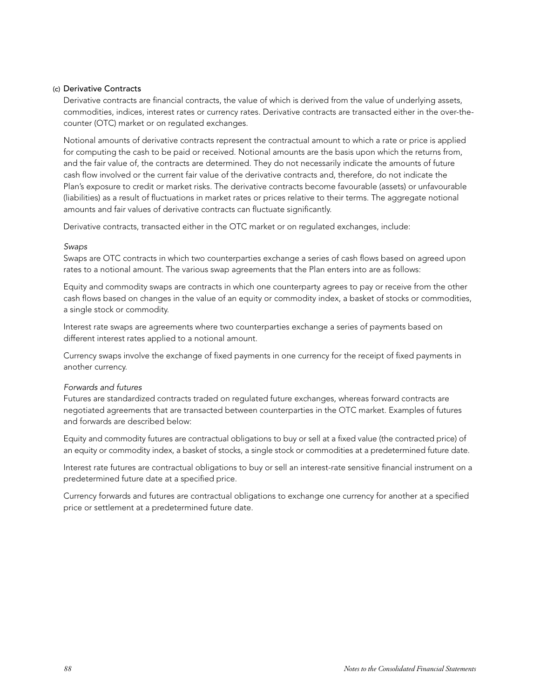#### (c) Derivative Contracts

Derivative contracts are financial contracts, the value of which is derived from the value of underlying assets, commodities, indices, interest rates or currency rates. Derivative contracts are transacted either in the over-thecounter (OTC) market or on regulated exchanges.

Notional amounts of derivative contracts represent the contractual amount to which a rate or price is applied for computing the cash to be paid or received. Notional amounts are the basis upon which the returns from, and the fair value of, the contracts are determined. They do not necessarily indicate the amounts of future cash flow involved or the current fair value of the derivative contracts and, therefore, do not indicate the Plan's exposure to credit or market risks. The derivative contracts become favourable (assets) or unfavourable (liabilities) as a result of fluctuations in market rates or prices relative to their terms. The aggregate notional amounts and fair values of derivative contracts can fluctuate significantly.

Derivative contracts, transacted either in the OTC market or on regulated exchanges, include:

#### *Swaps*

Swaps are OTC contracts in which two counterparties exchange a series of cash flows based on agreed upon rates to a notional amount. The various swap agreements that the Plan enters into are as follows:

Equity and commodity swaps are contracts in which one counterparty agrees to pay or receive from the other cash flows based on changes in the value of an equity or commodity index, a basket of stocks or commodities, a single stock or commodity.

Interest rate swaps are agreements where two counterparties exchange a series of payments based on different interest rates applied to a notional amount.

Currency swaps involve the exchange of fixed payments in one currency for the receipt of fixed payments in another currency.

#### *Forwards and futures*

Futures are standardized contracts traded on regulated future exchanges, whereas forward contracts are negotiated agreements that are transacted between counterparties in the OTC market. Examples of futures and forwards are described below:

Equity and commodity futures are contractual obligations to buy or sell at a fixed value (the contracted price) of an equity or commodity index, a basket of stocks, a single stock or commodities at a predetermined future date.

Interest rate futures are contractual obligations to buy or sell an interest-rate sensitive financial instrument on a predetermined future date at a specified price.

Currency forwards and futures are contractual obligations to exchange one currency for another at a specified price or settlement at a predetermined future date.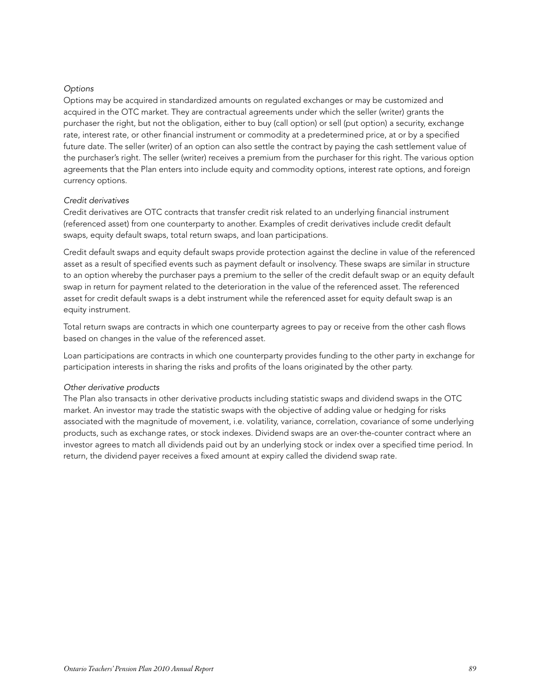#### *Options*

Options may be acquired in standardized amounts on regulated exchanges or may be customized and acquired in the OTC market. They are contractual agreements under which the seller (writer) grants the purchaser the right, but not the obligation, either to buy (call option) or sell (put option) a security, exchange rate, interest rate, or other financial instrument or commodity at a predetermined price, at or by a specified future date. The seller (writer) of an option can also settle the contract by paying the cash settlement value of the purchaser's right. The seller (writer) receives a premium from the purchaser for this right. The various option agreements that the Plan enters into include equity and commodity options, interest rate options, and foreign currency options.

#### *Credit derivatives*

Credit derivatives are OTC contracts that transfer credit risk related to an underlying financial instrument (referenced asset) from one counterparty to another. Examples of credit derivatives include credit default swaps, equity default swaps, total return swaps, and loan participations.

Credit default swaps and equity default swaps provide protection against the decline in value of the referenced asset as a result of specified events such as payment default or insolvency. These swaps are similar in structure to an option whereby the purchaser pays a premium to the seller of the credit default swap or an equity default swap in return for payment related to the deterioration in the value of the referenced asset. The referenced asset for credit default swaps is a debt instrument while the referenced asset for equity default swap is an equity instrument.

Total return swaps are contracts in which one counterparty agrees to pay or receive from the other cash flows based on changes in the value of the referenced asset.

Loan participations are contracts in which one counterparty provides funding to the other party in exchange for participation interests in sharing the risks and profits of the loans originated by the other party.

#### *Other derivative products*

The Plan also transacts in other derivative products including statistic swaps and dividend swaps in the OTC market. An investor may trade the statistic swaps with the objective of adding value or hedging for risks associated with the magnitude of movement, i.e. volatility, variance, correlation, covariance of some underlying products, such as exchange rates, or stock indexes. Dividend swaps are an over-the-counter contract where an investor agrees to match all dividends paid out by an underlying stock or index over a specified time period. In return, the dividend payer receives a fixed amount at expiry called the dividend swap rate.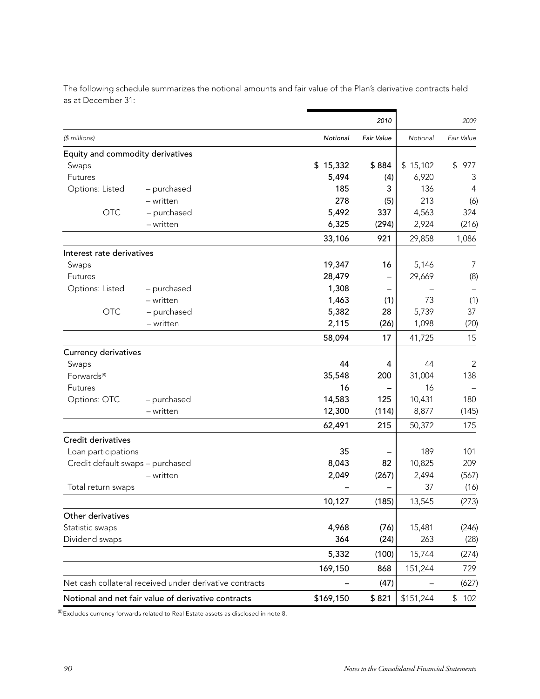|                                  |                                                         |              | 2010            |           | 2009                 |
|----------------------------------|---------------------------------------------------------|--------------|-----------------|-----------|----------------------|
| (\$ millions)                    |                                                         | Notional     | Fair Value      | Notional  | Fair Value           |
| Equity and commodity derivatives |                                                         |              |                 |           |                      |
| Swaps                            |                                                         | 15,332<br>\$ | \$884           | \$15,102  | \$<br>977            |
| Futures                          |                                                         | 5,494        | (4)             | 6,920     | 3                    |
| Options: Listed                  | - purchased                                             | 185          | 3               | 136       | $\overline{4}$       |
|                                  | - written                                               | 278          | (5)             | 213       | (6)                  |
| <b>OTC</b>                       | - purchased                                             | 5,492        | 337             | 4,563     | 324                  |
|                                  | - written                                               | 6,325        | (294)           | 2,924     | (216)                |
|                                  |                                                         | 33,106       | 921             | 29,858    | 1,086                |
| Interest rate derivatives        |                                                         |              |                 |           |                      |
| Swaps                            |                                                         | 19,347       | 16              | 5,146     | 7                    |
| Futures                          |                                                         | 28,479       | $\qquad \qquad$ | 29,669    | (8)                  |
| Options: Listed                  | - purchased                                             | 1,308        |                 |           |                      |
|                                  | - written                                               | 1,463        | (1)             | 73        | (1)                  |
| <b>OTC</b>                       | - purchased                                             | 5,382        | 28              | 5,739     | 37                   |
|                                  | - written                                               | 2,115        | (26)            | 1,098     | (20)                 |
|                                  |                                                         | 58,094       | 17              | 41,725    | 15                   |
| <b>Currency derivatives</b>      |                                                         |              |                 |           |                      |
| Swaps                            |                                                         | 44           | 4               | 44        | $\overline{2}$       |
| Forwards <sup>(8)</sup>          |                                                         | 35,548       | 200             | 31,004    | 138                  |
| Futures                          |                                                         | 16           |                 | 16        |                      |
| Options: OTC                     | - purchased                                             | 14,583       | 125             | 10,431    | 180                  |
|                                  | - written                                               | 12,300       | (114)           | 8,877     | (145)                |
|                                  |                                                         | 62,491       | 215             | 50,372    | 175                  |
| Credit derivatives               |                                                         |              |                 |           |                      |
| Loan participations              |                                                         | 35           |                 | 189       | 101                  |
| Credit default swaps - purchased |                                                         | 8,043        | 82              | 10,825    | 209                  |
|                                  | - written                                               | 2,049        | (267)           | 2,494     | (567)                |
| Total return swaps               |                                                         |              |                 | 37        | (16)                 |
|                                  |                                                         | 10,127       | (185)           | 13,545    | (273)                |
| Other derivatives                |                                                         |              |                 |           |                      |
| Statistic swaps                  |                                                         | 4,968        | (76)            | 15,481    | (246)                |
| Dividend swaps                   |                                                         | 364          | (24)            | 263       | (28)                 |
|                                  |                                                         | 5,332        | (100)           | 15,744    | (274)                |
|                                  |                                                         | 169,150      | 868             | 151,244   | 729                  |
|                                  | Net cash collateral received under derivative contracts |              | (47)            |           | (627)                |
|                                  | Notional and net fair value of derivative contracts     | \$169,150    | \$821           | \$151,244 | $\frac{1}{2}$<br>102 |

The following schedule summarizes the notional amounts and fair value of the Plan's derivative contracts held as at December 31:

 $^{(8)}$ Excludes currency forwards related to Real Estate assets as disclosed in note 8.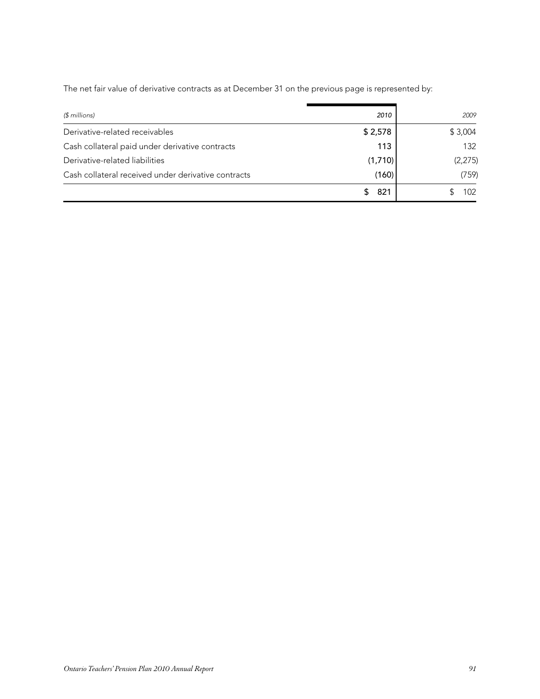| $$$ millions)                                       | 2010    | 2009     |
|-----------------------------------------------------|---------|----------|
| Derivative-related receivables                      | \$2,578 | \$3,004  |
| Cash collateral paid under derivative contracts     | 113     | 132      |
| Derivative-related liabilities                      | (1,710) | (2, 275) |
| Cash collateral received under derivative contracts | (160)   | (759)    |
|                                                     | 821     | 102      |

The net fair value of derivative contracts as at December 31 on the previous page is represented by: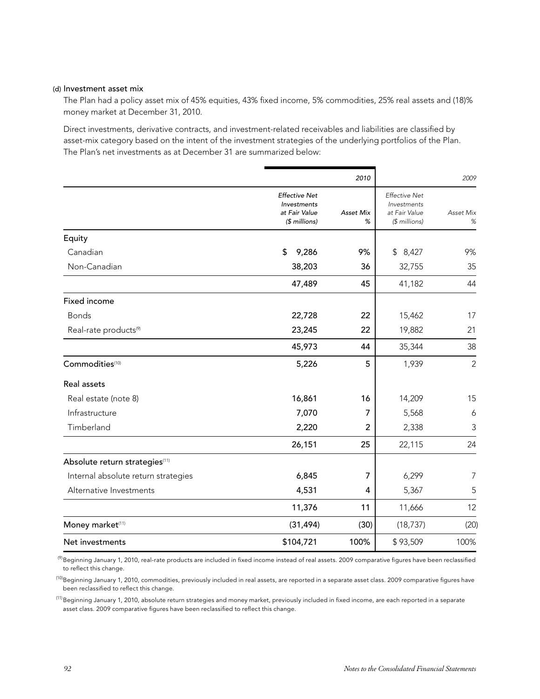#### (d) Investment asset mix

The Plan had a policy asset mix of 45% equities, 43% fixed income, 5% commodities, 25% real assets and (18)% money market at December 31, 2010.

Direct investments, derivative contracts, and investment-related receivables and liabilities are classified by asset-mix category based on the intent of the investment strategies of the underlying portfolios of the Plan. The Plan's net investments as at December 31 are summarized below:

|                                     |                                                                       | 2010           |                                                                       | 2009           |
|-------------------------------------|-----------------------------------------------------------------------|----------------|-----------------------------------------------------------------------|----------------|
|                                     | <b>Effective Net</b><br>Investments<br>at Fair Value<br>$$$ millions) | Asset Mix<br>% | <b>Effective Net</b><br>Investments<br>at Fair Value<br>(\$ millions) | Asset Mix<br>% |
| Equity                              |                                                                       |                |                                                                       |                |
| Canadian                            | \$<br>9,286                                                           | 9%             | \$<br>8,427                                                           | 9%             |
| Non-Canadian                        | 38,203                                                                | 36             | 32,755                                                                | 35             |
|                                     | 47,489                                                                | 45             | 41,182                                                                | 44             |
| Fixed income                        |                                                                       |                |                                                                       |                |
| <b>Bonds</b>                        | 22,728                                                                | 22             | 15,462                                                                | 17             |
| Real-rate products <sup>(9)</sup>   | 23,245                                                                | 22             | 19,882                                                                | 21             |
|                                     | 45,973                                                                | 44             | 35,344                                                                | 38             |
| Commodities(10)                     | 5,226                                                                 | 5              | 1,939                                                                 | $\overline{2}$ |
| Real assets                         |                                                                       |                |                                                                       |                |
| Real estate (note 8)                | 16,861                                                                | 16             | 14,209                                                                | 15             |
| Infrastructure                      | 7,070                                                                 | 7              | 5,568                                                                 | 6              |
| Timberland                          | 2,220                                                                 | 2              | 2,338                                                                 | 3              |
|                                     | 26,151                                                                | 25             | 22,115                                                                | 24             |
| Absolute return strategies(11)      |                                                                       |                |                                                                       |                |
| Internal absolute return strategies | 6,845                                                                 | 7              | 6,299                                                                 | 7              |
| Alternative Investments             | 4,531                                                                 | 4              | 5,367                                                                 | 5              |
|                                     | 11,376                                                                | 11             | 11,666                                                                | 12             |
| Money market <sup>(11)</sup>        | (31, 494)                                                             | (30)           | (18, 737)                                                             | (20)           |
| Net investments                     | \$104,721                                                             | 100%           | \$93,509                                                              | 100%           |

 $^{(9)}$ Beginning January 1, 2010, real-rate products are included in fixed income instead of real assets. 2009 comparative figures have been reclassified to reflect this change.

 $^{(10)}$ Beginning January 1, 2010, commodities, previously included in real assets, are reported in a separate asset class. 2009 comparative figures have been reclassified to reflect this change.

(11)Beginning January 1, 2010, absolute return strategies and money market, previously included in fixed income, are each reported in a separate asset class. 2009 comparative figures have been reclassified to reflect this change.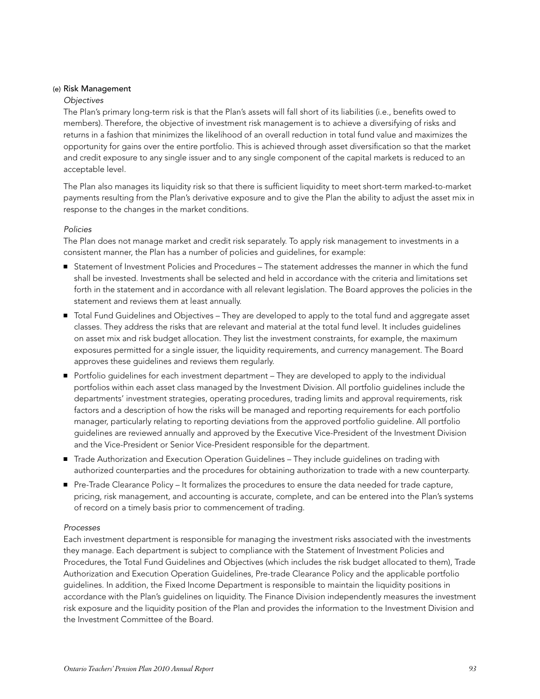#### (e) Risk Management

#### *Objectives*

The Plan's primary long-term risk is that the Plan's assets will fall short of its liabilities (i.e., benefits owed to members). Therefore, the objective of investment risk management is to achieve a diversifying of risks and returns in a fashion that minimizes the likelihood of an overall reduction in total fund value and maximizes the opportunity for gains over the entire portfolio. This is achieved through asset diversification so that the market and credit exposure to any single issuer and to any single component of the capital markets is reduced to an acceptable level.

The Plan also manages its liquidity risk so that there is sufficient liquidity to meet short-term marked-to-market payments resulting from the Plan's derivative exposure and to give the Plan the ability to adjust the asset mix in response to the changes in the market conditions.

#### *Policies*

The Plan does not manage market and credit risk separately. To apply risk management to investments in a consistent manner, the Plan has a number of policies and guidelines, for example:

- Statement of Investment Policies and Procedures The statement addresses the manner in which the fund shall be invested. Investments shall be selected and held in accordance with the criteria and limitations set forth in the statement and in accordance with all relevant legislation. The Board approves the policies in the statement and reviews them at least annually.
- Total Fund Guidelines and Objectives They are developed to apply to the total fund and aggregate asset classes. They address the risks that are relevant and material at the total fund level. It includes guidelines on asset mix and risk budget allocation. They list the investment constraints, for example, the maximum exposures permitted for a single issuer, the liquidity requirements, and currency management. The Board approves these guidelines and reviews them regularly.
- Portfolio guidelines for each investment department They are developed to apply to the individual portfolios within each asset class managed by the Investment Division. All portfolio guidelines include the departments' investment strategies, operating procedures, trading limits and approval requirements, risk factors and a description of how the risks will be managed and reporting requirements for each portfolio manager, particularly relating to reporting deviations from the approved portfolio guideline. All portfolio guidelines are reviewed annually and approved by the Executive Vice-President of the Investment Division and the Vice-President or Senior Vice-President responsible for the department.
- Trade Authorization and Execution Operation Guidelines They include quidelines on trading with authorized counterparties and the procedures for obtaining authorization to trade with a new counterparty.
- Pre-Trade Clearance Policy It formalizes the procedures to ensure the data needed for trade capture, pricing, risk management, and accounting is accurate, complete, and can be entered into the Plan's systems of record on a timely basis prior to commencement of trading.

#### *Processes*

Each investment department is responsible for managing the investment risks associated with the investments they manage. Each department is subject to compliance with the Statement of Investment Policies and Procedures, the Total Fund Guidelines and Objectives (which includes the risk budget allocated to them), Trade Authorization and Execution Operation Guidelines, Pre-trade Clearance Policy and the applicable portfolio guidelines. In addition, the Fixed Income Department is responsible to maintain the liquidity positions in accordance with the Plan's guidelines on liquidity. The Finance Division independently measures the investment risk exposure and the liquidity position of the Plan and provides the information to the Investment Division and the Investment Committee of the Board.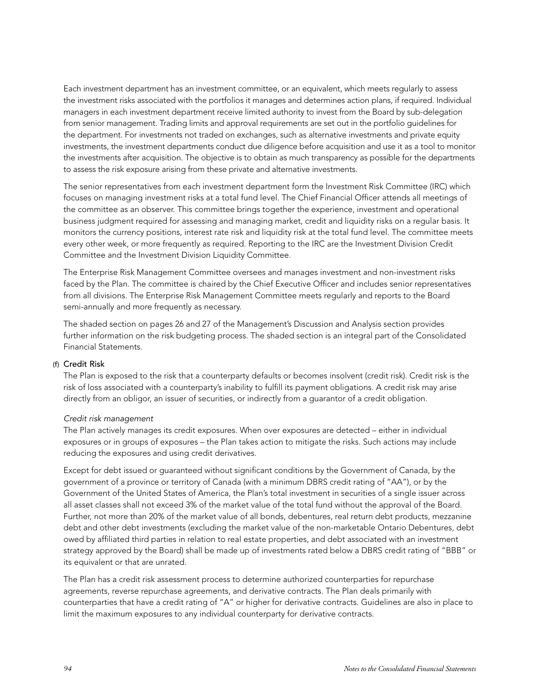Each investment department has an investment committee, or an equivalent, which meets regularly to assess the investment risks associated with the portfolios it manages and determines action plans, if required. Individual managers in each investment department receive limited authority to invest from the Board by sub-delegation from senior management. Trading limits and approval requirements are set out in the portfolio guidelines for the department. For investments not traded on exchanges, such as alternative investments and private equity investments, the investment departments conduct due diligence before acquisition and use it as a tool to monitor the investments after acquisition. The objective is to obtain as much transparency as possible for the departments to assess the risk exposure arising from these private and alternative investments.

The senior representatives from each investment department form the Investment Risk Committee (IRC) which focuses on managing investment risks at a total fund level. The Chief Financial Officer attends all meetings of the committee as an observer. This committee brings together the experience, investment and operational business judgment required for assessing and managing market, credit and liquidity risks on a regular basis. It monitors the currency positions, interest rate risk and liquidity risk at the total fund level. The committee meets every other week, or more frequently as required. Reporting to the IRC are the Investment Division Credit Committee and the Investment Division Liquidity Committee.

The Enterprise Risk Management Committee oversees and manages investment and non-investment risks faced by the Plan. The committee is chaired by the Chief Executive Officer and includes senior representatives from all divisions. The Enterprise Risk Management Committee meets regularly and reports to the Board semi-annually and more frequently as necessary.

The shaded section on pages 26 and 27 of the Management's Discussion and Analysis section provides further information on the risk budgeting process. The shaded section is an integral part of the Consolidated Financial Statements.

#### (f) Credit Risk

The Plan is exposed to the risk that a counterparty defaults or becomes insolvent (credit risk). Credit risk is the risk of loss associated with a counterparty's inability to fulfill its payment obligations. A credit risk may arise directly from an obligor, an issuer of securities, or indirectly from a guarantor of a credit obligation.

#### *Credit risk management*

The Plan actively manages its credit exposures. When over exposures are detected – either in individual exposures or in groups of exposures – the Plan takes action to mitigate the risks. Such actions may include reducing the exposures and using credit derivatives.

Except for debt issued or guaranteed without significant conditions by the Government of Canada, by the government of a province or territory of Canada (with a minimum DBRS credit rating of "AA"), or by the Government of the United States of America, the Plan's total investment in securities of a single issuer across all asset classes shall not exceed 3% of the market value of the total fund without the approval of the Board. Further, not more than 20% of the market value of all bonds, debentures, real return debt products, mezzanine debt and other debt investments (excluding the market value of the non-marketable Ontario Debentures, debt owed by affiliated third parties in relation to real estate properties, and debt associated with an investment strategy approved by the Board) shall be made up of investments rated below a DBRS credit rating of "BBB" or its equivalent or that are unrated.

The Plan has a credit risk assessment process to determine authorized counterparties for repurchase agreements, reverse repurchase agreements, and derivative contracts. The Plan deals primarily with counterparties that have a credit rating of "A" or higher for derivative contracts. Guidelines are also in place to limit the maximum exposures to any individual counterparty for derivative contracts.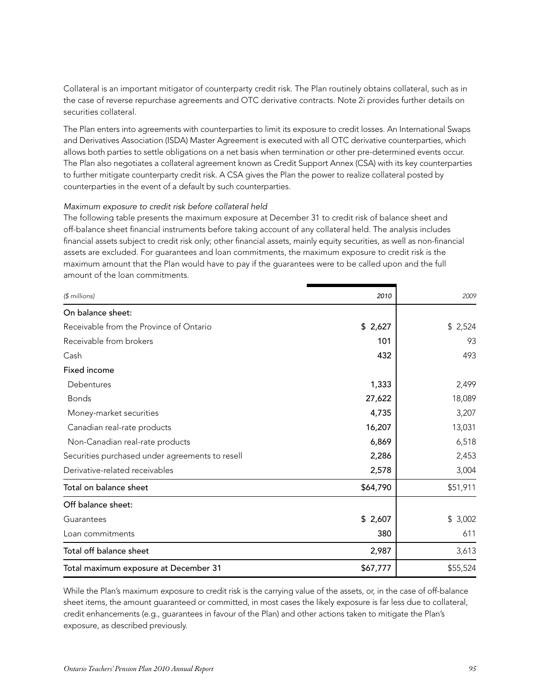Collateral is an important mitigator of counterparty credit risk. The Plan routinely obtains collateral, such as in the case of reverse repurchase agreements and OTC derivative contracts. Note 2i provides further details on securities collateral.

The Plan enters into agreements with counterparties to limit its exposure to credit losses. An International Swaps and Derivatives Association (ISDA) Master Agreement is executed with all OTC derivative counterparties, which allows both parties to settle obligations on a net basis when termination or other pre-determined events occur. The Plan also negotiates a collateral agreement known as Credit Support Annex (CSA) with its key counterparties to further mitigate counterparty credit risk. A CSA gives the Plan the power to realize collateral posted by counterparties in the event of a default by such counterparties.

#### *Maximum exposure to credit risk before collateral held*

The following table presents the maximum exposure at December 31 to credit risk of balance sheet and off-balance sheet financial instruments before taking account of any collateral held. The analysis includes financial assets subject to credit risk only; other financial assets, mainly equity securities, as well as non-financial assets are excluded. For guarantees and loan commitments, the maximum exposure to credit risk is the maximum amount that the Plan would have to pay if the guarantees were to be called upon and the full amount of the loan commitments.

| $$$ millions)                                   | 2010     | 2009     |
|-------------------------------------------------|----------|----------|
| On balance sheet:                               |          |          |
| Receivable from the Province of Ontario         | \$2,627  | \$2,524  |
| Receivable from brokers                         | 101      | 93       |
| Cash                                            | 432      | 493      |
| Fixed income                                    |          |          |
| Debentures                                      | 1,333    | 2,499    |
| <b>Bonds</b>                                    | 27,622   | 18,089   |
| Money-market securities                         | 4,735    | 3,207    |
| Canadian real-rate products                     | 16,207   | 13,031   |
| Non-Canadian real-rate products                 | 6,869    | 6,518    |
| Securities purchased under agreements to resell | 2,286    | 2,453    |
| Derivative-related receivables                  | 2,578    | 3,004    |
| Total on balance sheet                          | \$64,790 | \$51,911 |
| Off balance sheet:                              |          |          |
| Guarantees                                      | \$2,607  | \$3,002  |
| Loan commitments                                | 380      | 611      |
| Total off balance sheet                         | 2,987    | 3,613    |
| Total maximum exposure at December 31           | \$67,777 | \$55,524 |

While the Plan's maximum exposure to credit risk is the carrying value of the assets, or, in the case of off-balance sheet items, the amount guaranteed or committed, in most cases the likely exposure is far less due to collateral, credit enhancements (e.g., guarantees in favour of the Plan) and other actions taken to mitigate the Plan's exposure, as described previously.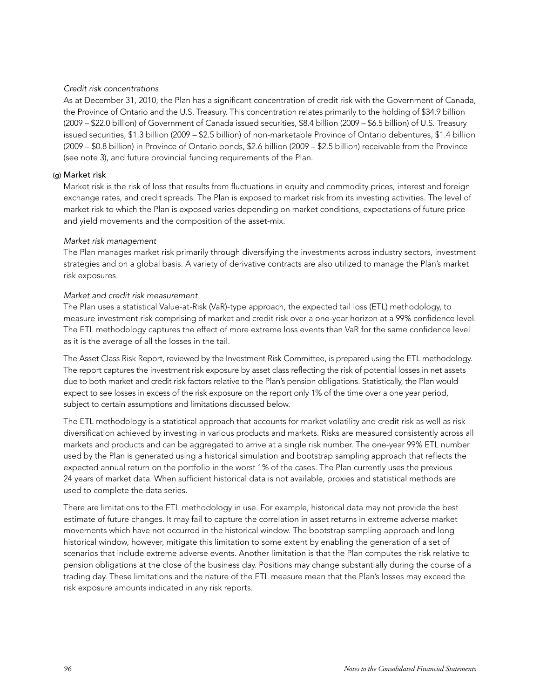#### *Credit risk concentrations*

As at December 31, 2010, the Plan has a significant concentration of credit risk with the Government of Canada, the Province of Ontario and the U.S. Treasury. This concentration relates primarily to the holding of \$34.9 billion (2009 – \$22.0 billion) of Government of Canada issued securities, \$8.4 billion (2009 – \$6.5 billion) of U.S. Treasury issued securities, \$1.3 billion (2009 – \$2.5 billion) of non-marketable Province of Ontario debentures, \$1.4 billion (2009 – \$0.8 billion) in Province of Ontario bonds, \$2.6 billion (2009 – \$2.5 billion) receivable from the Province (see note 3), and future provincial funding requirements of the Plan.

#### (g) Market risk

Market risk is the risk of loss that results from fluctuations in equity and commodity prices, interest and foreign exchange rates, and credit spreads. The Plan is exposed to market risk from its investing activities. The level of market risk to which the Plan is exposed varies depending on market conditions, expectations of future price and yield movements and the composition of the asset-mix.

#### *Market risk management*

The Plan manages market risk primarily through diversifying the investments across industry sectors, investment strategies and on a global basis. A variety of derivative contracts are also utilized to manage the Plan's market risk exposures.

#### *Market and credit risk measurement*

The Plan uses a statistical Value-at-Risk (VaR)-type approach, the expected tail loss (ETL) methodology, to measure investment risk comprising of market and credit risk over a one-year horizon at a 99% confidence level. The ETL methodology captures the effect of more extreme loss events than VaR for the same confidence level as it is the average of all the losses in the tail.

The Asset Class Risk Report, reviewed by the Investment Risk Committee, is prepared using the ETL methodology. The report captures the investment risk exposure by asset class reflecting the risk of potential losses in net assets due to both market and credit risk factors relative to the Plan's pension obligations. Statistically, the Plan would expect to see losses in excess of the risk exposure on the report only 1% of the time over a one year period, subject to certain assumptions and limitations discussed below.

The ETL methodology is a statistical approach that accounts for market volatility and credit risk as well as risk diversification achieved by investing in various products and markets. Risks are measured consistently across all markets and products and can be aggregated to arrive at a single risk number. The one-year 99% ETL number used by the Plan is generated using a historical simulation and bootstrap sampling approach that reflects the expected annual return on the portfolio in the worst 1% of the cases. The Plan currently uses the previous 24 years of market data. When sufficient historical data is not available, proxies and statistical methods are used to complete the data series.

There are limitations to the ETL methodology in use. For example, historical data may not provide the best estimate of future changes. It may fail to capture the correlation in asset returns in extreme adverse market movements which have not occurred in the historical window. The bootstrap sampling approach and long historical window, however, mitigate this limitation to some extent by enabling the generation of a set of scenarios that include extreme adverse events. Another limitation is that the Plan computes the risk relative to pension obligations at the close of the business day. Positions may change substantially during the course of a trading day. These limitations and the nature of the ETL measure mean that the Plan's losses may exceed the risk exposure amounts indicated in any risk reports.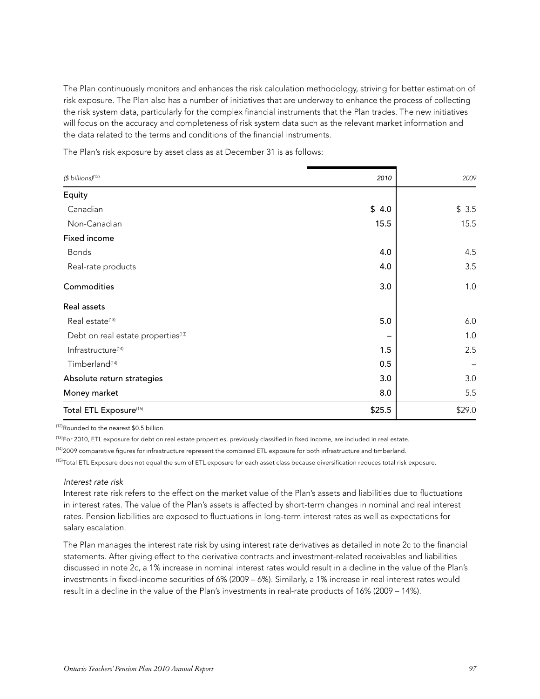The Plan continuously monitors and enhances the risk calculation methodology, striving for better estimation of risk exposure. The Plan also has a number of initiatives that are underway to enhance the process of collecting the risk system data, particularly for the complex financial instruments that the Plan trades. The new initiatives will focus on the accuracy and completeness of risk system data such as the relevant market information and the data related to the terms and conditions of the financial instruments.

The Plan's risk exposure by asset class as at December 31 is as follows:

| $($$ billions) $^{(12)}$                       | 2010   | 2009   |
|------------------------------------------------|--------|--------|
| Equity                                         |        |        |
| Canadian                                       | \$4.0  | \$3.5  |
| Non-Canadian                                   | 15.5   | 15.5   |
| Fixed income                                   |        |        |
| Bonds                                          | 4.0    | 4.5    |
| Real-rate products                             | 4.0    | 3.5    |
| Commodities                                    | 3.0    | 1.0    |
| Real assets                                    |        |        |
| Real estate <sup>(13)</sup>                    | 5.0    | 6.0    |
| Debt on real estate properties <sup>(13)</sup> |        | 1.0    |
| Infrastructure <sup>(14)</sup>                 | 1.5    | 2.5    |
| Timberland <sup>(14)</sup>                     | 0.5    |        |
| Absolute return strategies                     | 3.0    | 3.0    |
| Money market                                   | 8.0    | 5.5    |
| Total ETL Exposure <sup>(15)</sup>             | \$25.5 | \$29.0 |

(12)Rounded to the nearest \$0.5 billion.

<sup>(13)</sup>For 2010, ETL exposure for debt on real estate properties, previously classified in fixed income, are included in real estate.

(14)2009 comparative figures for infrastructure represent the combined ETL exposure for both infrastructure and timberland.

<sup>(15)</sup>Total ETL Exposure does not equal the sum of ETL exposure for each asset class because diversification reduces total risk exposure.

#### *Interest rate risk*

Interest rate risk refers to the effect on the market value of the Plan's assets and liabilities due to fluctuations in interest rates. The value of the Plan's assets is affected by short-term changes in nominal and real interest rates. Pension liabilities are exposed to fluctuations in long-term interest rates as well as expectations for salary escalation.

The Plan manages the interest rate risk by using interest rate derivatives as detailed in note 2c to the financial statements. After giving effect to the derivative contracts and investment-related receivables and liabilities discussed in note 2c, a 1% increase in nominal interest rates would result in a decline in the value of the Plan's investments in fixed-income securities of 6% (2009 – 6%). Similarly, a 1% increase in real interest rates would result in a decline in the value of the Plan's investments in real-rate products of 16% (2009 – 14%).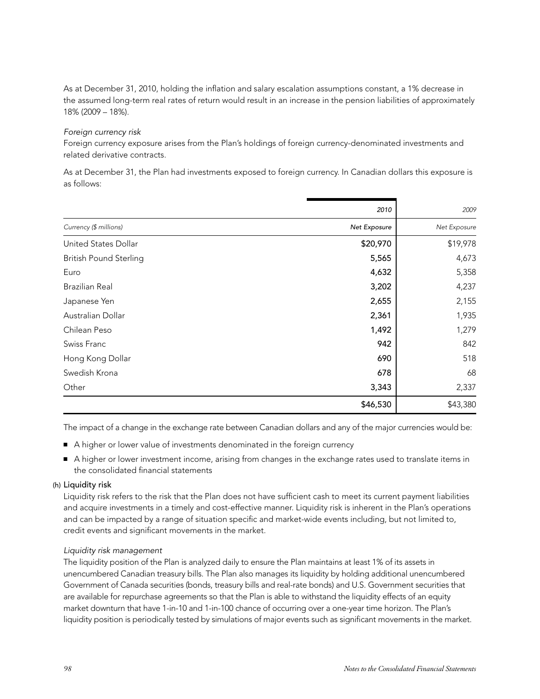As at December 31, 2010, holding the inflation and salary escalation assumptions constant, a 1% decrease in the assumed long-term real rates of return would result in an increase in the pension liabilities of approximately 18% (2009 – 18%).

#### *Foreign currency risk*

Foreign currency exposure arises from the Plan's holdings of foreign currency-denominated investments and related derivative contracts.

As at December 31, the Plan had investments exposed to foreign currency. In Canadian dollars this exposure is as follows:

|                               | 2010         | 2009         |
|-------------------------------|--------------|--------------|
| Currency (\$ millions)        | Net Exposure | Net Exposure |
| United States Dollar          | \$20,970     | \$19,978     |
| <b>British Pound Sterling</b> | 5,565        | 4,673        |
| Euro                          | 4,632        | 5,358        |
| <b>Brazilian Real</b>         | 3,202        | 4,237        |
| Japanese Yen                  | 2,655        | 2,155        |
| Australian Dollar             | 2,361        | 1,935        |
| Chilean Peso                  | 1,492        | 1,279        |
| Swiss Franc                   | 942          | 842          |
| Hong Kong Dollar              | 690          | 518          |
| Swedish Krona                 | 678          | 68           |
| Other                         | 3,343        | 2,337        |
|                               | \$46,530     | \$43,380     |

The impact of a change in the exchange rate between Canadian dollars and any of the major currencies would be:

- A higher or lower value of investments denominated in the foreign currency
- <sup>n</sup> A higher or lower investment income, arising from changes in the exchange rates used to translate items in the consolidated financial statements

#### (h) Liquidity risk

Liquidity risk refers to the risk that the Plan does not have sufficient cash to meet its current payment liabilities and acquire investments in a timely and cost-effective manner. Liquidity risk is inherent in the Plan's operations and can be impacted by a range of situation specific and market-wide events including, but not limited to, credit events and significant movements in the market.

#### *Liquidity risk management*

The liquidity position of the Plan is analyzed daily to ensure the Plan maintains at least 1% of its assets in unencumbered Canadian treasury bills. The Plan also manages its liquidity by holding additional unencumbered Government of Canada securities (bonds, treasury bills and real-rate bonds) and U.S. Government securities that are available for repurchase agreements so that the Plan is able to withstand the liquidity effects of an equity market downturn that have 1-in-10 and 1-in-100 chance of occurring over a one-year time horizon. The Plan's liquidity position is periodically tested by simulations of major events such as significant movements in the market.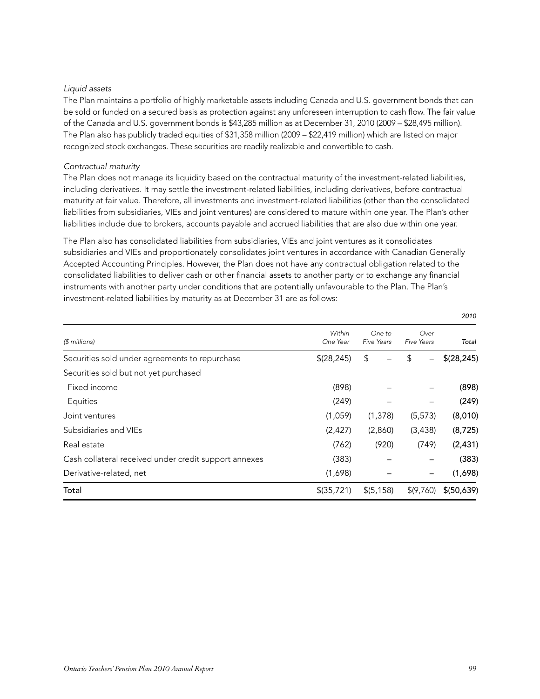#### *Liquid assets*

The Plan maintains a portfolio of highly marketable assets including Canada and U.S. government bonds that can be sold or funded on a secured basis as protection against any unforeseen interruption to cash flow. The fair value of the Canada and U.S. government bonds is \$43,285 million as at December 31, 2010 (2009 – \$28,495 million). The Plan also has publicly traded equities of \$31,358 million (2009 – \$22,419 million) which are listed on major recognized stock exchanges. These securities are readily realizable and convertible to cash.

#### *Contractual maturity*

The Plan does not manage its liquidity based on the contractual maturity of the investment-related liabilities, including derivatives. It may settle the investment-related liabilities, including derivatives, before contractual maturity at fair value. Therefore, all investments and investment-related liabilities (other than the consolidated liabilities from subsidiaries, VIEs and joint ventures) are considered to mature within one year. The Plan's other liabilities include due to brokers, accounts payable and accrued liabilities that are also due within one year.

The Plan also has consolidated liabilities from subsidiaries, VIEs and joint ventures as it consolidates subsidiaries and VIEs and proportionately consolidates joint ventures in accordance with Canadian Generally Accepted Accounting Principles. However, the Plan does not have any contractual obligation related to the consolidated liabilities to deliver cash or other financial assets to another party or to exchange any financial instruments with another party under conditions that are potentially unfavourable to the Plan. The Plan's investment-related liabilities by maturity as at December 31 are as follows:

|                                                       |                    |                      |                    | 2010       |
|-------------------------------------------------------|--------------------|----------------------|--------------------|------------|
| $$$ millions)                                         | Within<br>One Year | One to<br>Five Years | Over<br>Five Years | Total      |
| Securities sold under agreements to repurchase        | \$(28,245)         | \$                   | \$                 | \$(28,245) |
| Securities sold but not yet purchased                 |                    |                      |                    |            |
| Fixed income                                          | (898)              |                      |                    | (898)      |
| Equities                                              | (249)              |                      |                    | (249)      |
| Joint ventures                                        | (1,059)            | (1, 378)             | (5, 573)           | (8,010)    |
| Subsidiaries and VIEs                                 | (2, 427)           | (2,860)              | (3, 438)           | (8,725)    |
| Real estate                                           | (762)              | (920)                | (749)              | (2, 431)   |
| Cash collateral received under credit support annexes | (383)              |                      |                    | (383)      |
| Derivative-related, net                               | (1,698)            |                      |                    | (1,698)    |
| Total                                                 | \$(35,721)         | \$(5, 158)           | \$(9,760)          | \$(50,639) |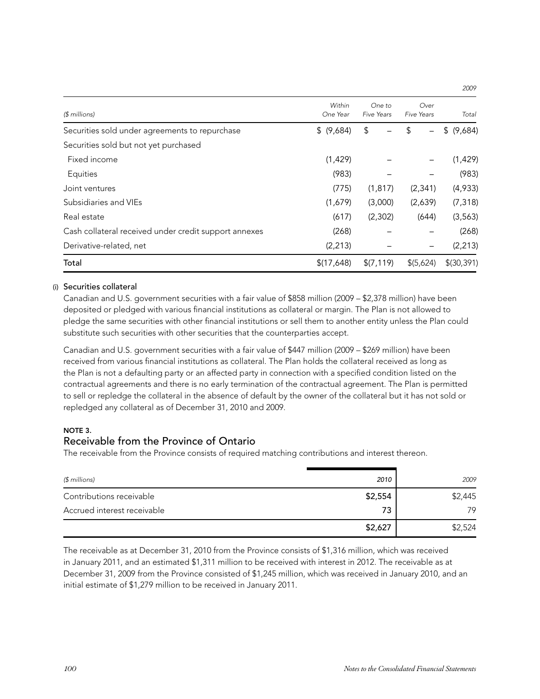*2009*

| $$$ millions)                                         | Within<br>One Year | One to<br>Five Years | Over<br>Five Years | Total         |
|-------------------------------------------------------|--------------------|----------------------|--------------------|---------------|
| Securities sold under agreements to repurchase        | \$ (9,684)         | \$                   | \$<br>Ξ.           | (9,684)<br>\$ |
| Securities sold but not yet purchased                 |                    |                      |                    |               |
| Fixed income                                          | (1,429)            |                      |                    | (1, 429)      |
| Equities                                              | (983)              |                      |                    | (983)         |
| Joint ventures                                        | (775)              | (1, 817)             | (2,341)            | (4,933)       |
| Subsidiaries and VIEs                                 | (1,679)            | (3,000)              | (2,639)            | (7, 318)      |
| Real estate                                           | (617)              | (2,302)              | (644)              | (3, 563)      |
| Cash collateral received under credit support annexes | (268)              |                      |                    | (268)         |
| Derivative-related, net                               | (2, 213)           |                      |                    | (2, 213)      |
| Total                                                 | \$(17,648)         | \$(7,119)            | \$ (5,624)         | \$(30, 391)   |

#### (i) Securities collateral

Canadian and U.S. government securities with a fair value of \$858 million (2009 – \$2,378 million) have been deposited or pledged with various financial institutions as collateral or margin. The Plan is not allowed to pledge the same securities with other financial institutions or sell them to another entity unless the Plan could substitute such securities with other securities that the counterparties accept.

Canadian and U.S. government securities with a fair value of \$447 million (2009 – \$269 million) have been received from various financial institutions as collateral. The Plan holds the collateral received as long as the Plan is not a defaulting party or an affected party in connection with a specified condition listed on the contractual agreements and there is no early termination of the contractual agreement. The Plan is permitted to sell or repledge the collateral in the absence of default by the owner of the collateral but it has not sold or repledged any collateral as of December 31, 2010 and 2009.

## Note 3.

## Receivable from the Province of Ontario

The receivable from the Province consists of required matching contributions and interest thereon.

| (\$ millions)               | 2010    | 2009    |
|-----------------------------|---------|---------|
| Contributions receivable    | \$2,554 | \$2,445 |
| Accrued interest receivable | 73      | 79      |
|                             | \$2,627 | \$2,524 |

The receivable as at December 31, 2010 from the Province consists of \$1,316 million, which was received in January 2011, and an estimated \$1,311 million to be received with interest in 2012. The receivable as at December 31, 2009 from the Province consisted of \$1,245 million, which was received in January 2010, and an initial estimate of \$1,279 million to be received in January 2011.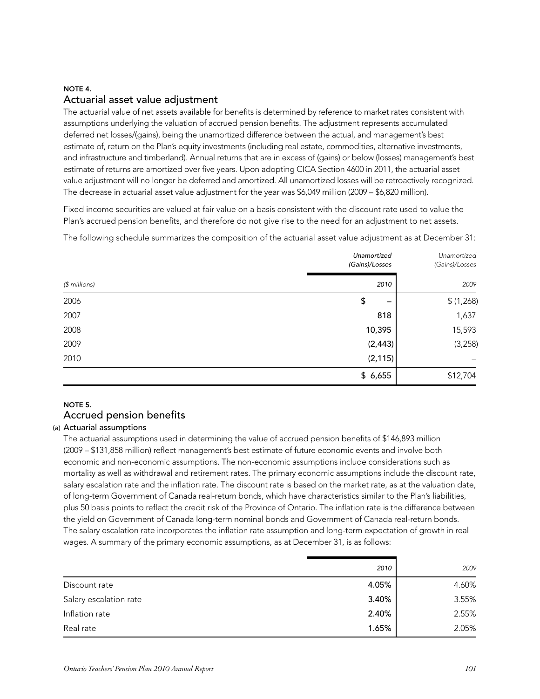## NOTE 4.

## Actuarial asset value adjustment

The actuarial value of net assets available for benefits is determined by reference to market rates consistent with assumptions underlying the valuation of accrued pension benefits. The adjustment represents accumulated deferred net losses/(gains), being the unamortized difference between the actual, and management's best estimate of, return on the Plan's equity investments (including real estate, commodities, alternative investments, and infrastructure and timberland). Annual returns that are in excess of (gains) or below (losses) management's best estimate of returns are amortized over five years. Upon adopting CICA Section 4600 in 2011, the actuarial asset value adjustment will no longer be deferred and amortized. All unamortized losses will be retroactively recognized. The decrease in actuarial asset value adjustment for the year was \$6,049 million (2009 – \$6,820 million).

Fixed income securities are valued at fair value on a basis consistent with the discount rate used to value the Plan's accrued pension benefits, and therefore do not give rise to the need for an adjustment to net assets.

The following schedule summarizes the composition of the actuarial asset value adjustment as at December 31:

|               | Unamortized<br>(Gains)/Losses | Unamortized<br>(Gains)/Losses |
|---------------|-------------------------------|-------------------------------|
| (\$ millions) | 2010                          | 2009                          |
| 2006          | \$                            | \$(1,268)                     |
| 2007          | 818                           | 1,637                         |
| 2008          | 10,395                        | 15,593                        |
| 2009          | (2, 443)                      | (3, 258)                      |
| 2010          | (2, 115)                      |                               |
|               | \$6,655                       | \$12,704                      |

#### NOTE<sub>5</sub>.

## Accrued pension benefits

### (a) Actuarial assumptions

The actuarial assumptions used in determining the value of accrued pension benefits of \$146,893 million (2009 – \$131,858 million) reflect management's best estimate of future economic events and involve both economic and non-economic assumptions. The non-economic assumptions include considerations such as mortality as well as withdrawal and retirement rates. The primary economic assumptions include the discount rate, salary escalation rate and the inflation rate. The discount rate is based on the market rate, as at the valuation date, of long-term Government of Canada real-return bonds, which have characteristics similar to the Plan's liabilities, plus 50 basis points to reflect the credit risk of the Province of Ontario. The inflation rate is the difference between the yield on Government of Canada long-term nominal bonds and Government of Canada real-return bonds. The salary escalation rate incorporates the inflation rate assumption and long-term expectation of growth in real wages. A summary of the primary economic assumptions, as at December 31, is as follows:

|                        | 2010  | 2009  |
|------------------------|-------|-------|
| Discount rate          | 4.05% | 4.60% |
| Salary escalation rate | 3.40% | 3.55% |
| Inflation rate         | 2.40% | 2.55% |
| Real rate              | 1.65% | 2.05% |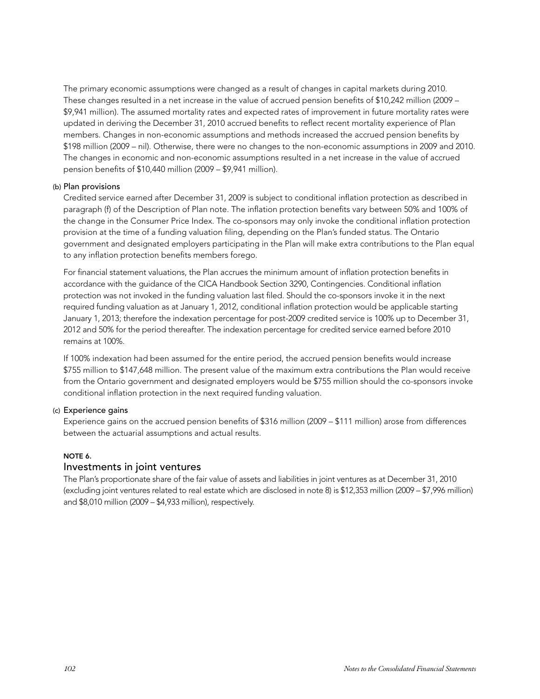The primary economic assumptions were changed as a result of changes in capital markets during 2010. These changes resulted in a net increase in the value of accrued pension benefits of \$10,242 million (2009 – \$9,941 million). The assumed mortality rates and expected rates of improvement in future mortality rates were updated in deriving the December 31, 2010 accrued benefits to reflect recent mortality experience of Plan members. Changes in non-economic assumptions and methods increased the accrued pension benefits by \$198 million (2009 – nil). Otherwise, there were no changes to the non-economic assumptions in 2009 and 2010. The changes in economic and non-economic assumptions resulted in a net increase in the value of accrued pension benefits of \$10,440 million (2009 – \$9,941 million).

#### (b) Plan provisions

Credited service earned after December 31, 2009 is subject to conditional inflation protection as described in paragraph (f) of the Description of Plan note. The inflation protection benefits vary between 50% and 100% of the change in the Consumer Price Index. The co-sponsors may only invoke the conditional inflation protection provision at the time of a funding valuation filing, depending on the Plan's funded status. The Ontario government and designated employers participating in the Plan will make extra contributions to the Plan equal to any inflation protection benefits members forego.

For financial statement valuations, the Plan accrues the minimum amount of inflation protection benefits in accordance with the guidance of the CICA Handbook Section 3290, Contingencies. Conditional inflation protection was not invoked in the funding valuation last filed. Should the co-sponsors invoke it in the next required funding valuation as at January 1, 2012, conditional inflation protection would be applicable starting January 1, 2013; therefore the indexation percentage for post-2009 credited service is 100% up to December 31, 2012 and 50% for the period thereafter. The indexation percentage for credited service earned before 2010 remains at 100%.

If 100% indexation had been assumed for the entire period, the accrued pension benefits would increase \$755 million to \$147,648 million. The present value of the maximum extra contributions the Plan would receive from the Ontario government and designated employers would be \$755 million should the co-sponsors invoke conditional inflation protection in the next required funding valuation.

#### (c) Experience gains

Experience gains on the accrued pension benefits of \$316 million (2009 – \$111 million) arose from differences between the actuarial assumptions and actual results.

#### NOTE 6.

#### Investments in joint ventures

The Plan's proportionate share of the fair value of assets and liabilities in joint ventures as at December 31, 2010 (excluding joint ventures related to real estate which are disclosed in note 8) is \$12,353 million (2009 – \$7,996 million) and \$8,010 million (2009 – \$4,933 million), respectively.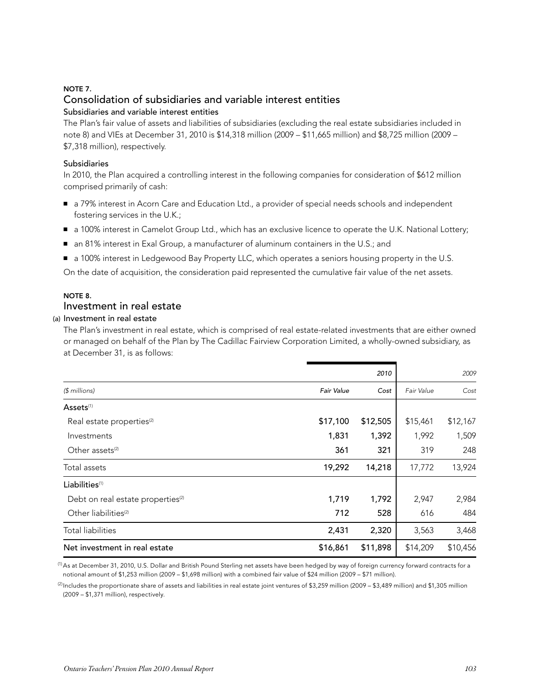#### NOTE<sub>7</sub>. Consolidation of subsidiaries and variable interest entities Subsidiaries and variable interest entities

The Plan's fair value of assets and liabilities of subsidiaries (excluding the real estate subsidiaries included in note 8) and VIEs at December 31, 2010 is \$14,318 million (2009 – \$11,665 million) and \$8,725 million (2009 – \$7,318 million), respectively.

#### Subsidiaries

In 2010, the Plan acquired a controlling interest in the following companies for consideration of \$612 million comprised primarily of cash:

- n a 79% interest in Acorn Care and Education Ltd., a provider of special needs schools and independent fostering services in the U.K.;
- n a 100% interest in Camelot Group Ltd., which has an exclusive licence to operate the U.K. National Lottery;
- n an 81% interest in Exal Group, a manufacturer of aluminum containers in the U.S.; and
- n a 100% interest in Ledgewood Bay Property LLC, which operates a seniors housing property in the U.S.

On the date of acquisition, the consideration paid represented the cumulative fair value of the net assets.

### NOTE 8.

## Investment in real estate

#### (a) Investment in real estate

The Plan's investment in real estate, which is comprised of real estate-related investments that are either owned or managed on behalf of the Plan by The Cadillac Fairview Corporation Limited, a wholly-owned subsidiary, as at December 31, is as follows:

|                                               |                   | 2010     |            | 2009     |
|-----------------------------------------------|-------------------|----------|------------|----------|
| $$$ millions)                                 | <b>Fair Value</b> | Cost     | Fair Value | Cost     |
| Assets <sup>(1)</sup>                         |                   |          |            |          |
| Real estate properties <sup>(2)</sup>         | \$17,100          | \$12,505 | \$15,461   | \$12,167 |
| Investments                                   | 1,831             | 1,392    | 1,992      | 1,509    |
| Other assets <sup>(2)</sup>                   | 361               | 321      | 319        | 248      |
| Total assets                                  | 19,292            | 14,218   | 17,772     | 13,924   |
| Liabilities <sup>(1)</sup>                    |                   |          |            |          |
| Debt on real estate properties <sup>(2)</sup> | 1,719             | 1,792    | 2,947      | 2,984    |
| Other liabilities <sup>(2)</sup>              | 712               | 528      | 616        | 484      |
| <b>Total liabilities</b>                      | 2,431             | 2,320    | 3,563      | 3,468    |
| Net investment in real estate                 | \$16,861          | \$11,898 | \$14,209   | \$10,456 |

 $^{\text{\tiny{(1)}}}$ As at December 31, 2010, U.S. Dollar and British Pound Sterling net assets have been hedged by way of foreign currency forward contracts for a notional amount of \$1,253 million (2009 – \$1,698 million) with a combined fair value of \$24 million (2009 – \$71 million).

(2) Includes the proportionate share of assets and liabilities in real estate joint ventures of \$3,259 million (2009 – \$3,489 million) and \$1,305 million (2009 – \$1,371 million), respectively.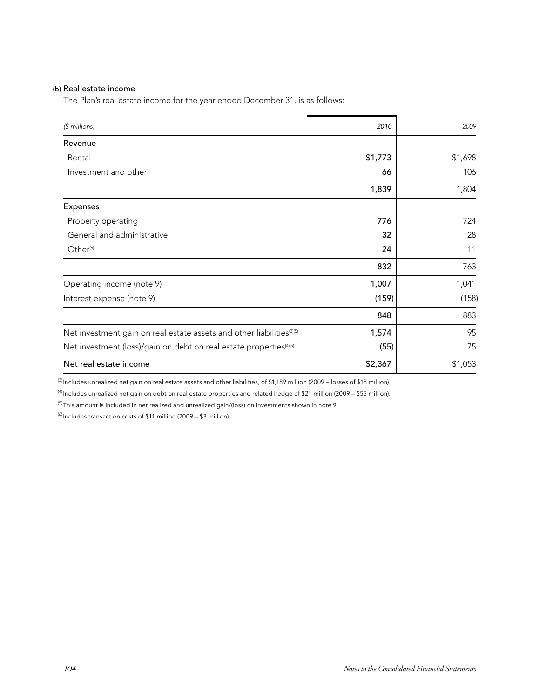#### (b) Real estate income

The Plan's real estate income for the year ended December 31, is as follows:

| (\$ millions)                                                                     | 2010    | 2009    |
|-----------------------------------------------------------------------------------|---------|---------|
| Revenue                                                                           |         |         |
| Rental                                                                            | \$1,773 | \$1,698 |
| Investment and other                                                              | 66      | 106     |
|                                                                                   | 1,839   | 1,804   |
| <b>Expenses</b>                                                                   |         |         |
| Property operating                                                                | 776     | 724     |
| General and administrative                                                        | 32      | 28      |
| Other <sup>(6)</sup>                                                              | 24      | 11      |
|                                                                                   | 832     | 763     |
| Operating income (note 9)                                                         | 1,007   | 1,041   |
| Interest expense (note 9)                                                         | (159)   | (158)   |
|                                                                                   | 848     | 883     |
| Net investment gain on real estate assets and other liabilities <sup>(3)(5)</sup> | 1,574   | 95      |
| Net investment (loss)/gain on debt on real estate properties <sup>(4)(5)</sup>    | (55)    | 75      |
| Net real estate income                                                            | \$2,367 | \$1,053 |

(3)Includes unrealized net gain on real estate assets and other liabilities, of \$1,189 million (2009 – losses of \$18 million).

 $^{(4)}$ Includes unrealized net gain on debt on real estate properties and related hedge of \$21 million (2009 – \$55 million).

(5)This amount is included in net realized and unrealized gain/(loss) on investments shown in note 9.

 $^{(6)}$ Includes transaction costs of \$11 million (2009 – \$3 million).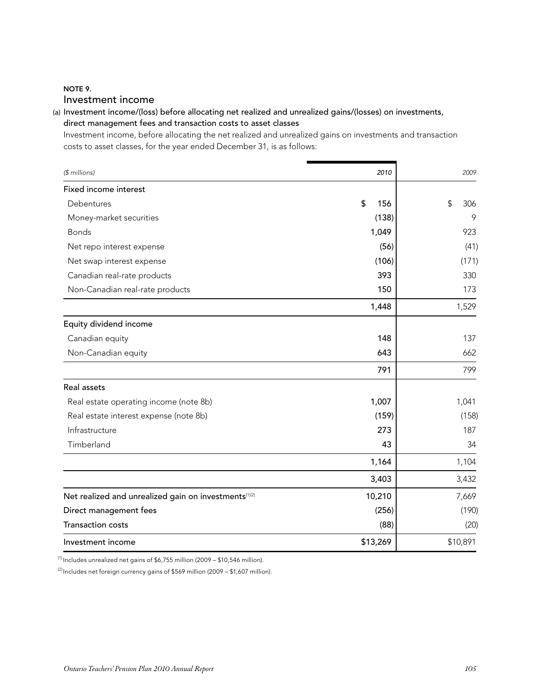## NOTE 9.

## Investment income

(a) Investment income/(loss) before allocating net realized and unrealized gains/(losses) on investments, direct management fees and transaction costs to asset classes

Investment income, before allocating the net realized and unrealized gains on investments and transaction costs to asset classes, for the year ended December 31, is as follows:

| (\$ millions)                                                     | 2010      | 2009              |
|-------------------------------------------------------------------|-----------|-------------------|
| Fixed income interest                                             |           |                   |
| Debentures                                                        | \$<br>156 | $\sqrt{2}$<br>306 |
| Money-market securities                                           | (138)     | 9                 |
| <b>Bonds</b>                                                      | 1,049     | 923               |
| Net repo interest expense                                         | (56)      | (41)              |
| Net swap interest expense                                         | (106)     | (171)             |
| Canadian real-rate products                                       | 393       | 330               |
| Non-Canadian real-rate products                                   | 150       | 173               |
|                                                                   | 1,448     | 1,529             |
| Equity dividend income                                            |           |                   |
| Canadian equity                                                   | 148       | 137               |
| Non-Canadian equity                                               | 643       | 662               |
|                                                                   | 791       | 799               |
| Real assets                                                       |           |                   |
| Real estate operating income (note 8b)                            | 1,007     | 1,041             |
| Real estate interest expense (note 8b)                            | (159)     | (158)             |
| Infrastructure                                                    | 273       | 187               |
| Timberland                                                        | 43        | 34                |
|                                                                   | 1,164     | 1,104             |
|                                                                   | 3,403     | 3,432             |
| Net realized and unrealized gain on investments <sup>(1)(2)</sup> | 10,210    | 7,669             |
| Direct management fees                                            | (256)     | (190)             |
| Transaction costs                                                 | (88)      | (20)              |
| Investment income                                                 | \$13,269  | \$10,891          |

 $^{(1)}$  Includes unrealized net gains of \$6,755 million (2009 – \$10,546 million).

 $^{(2)}$ Includes net foreign currency gains of \$569 million (2009 – \$1,607 million).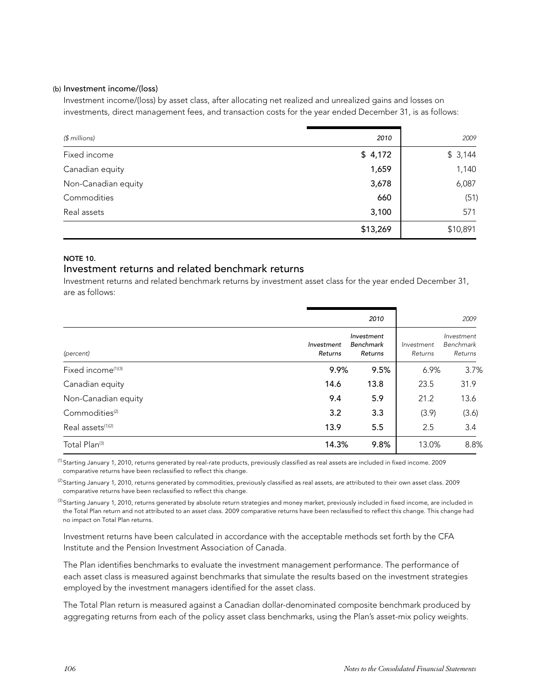#### (b) Investment income/(loss)

Investment income/(loss) by asset class, after allocating net realized and unrealized gains and losses on investments, direct management fees, and transaction costs for the year ended December 31, is as follows:

| $$$ millions)       | 2010     | 2009     |
|---------------------|----------|----------|
| Fixed income        | \$4,172  | \$3,144  |
| Canadian equity     | 1,659    | 1,140    |
| Non-Canadian equity | 3,678    | 6,087    |
| Commodities         | 660      | (51)     |
| Real assets         | 3,100    | 571      |
|                     | \$13,269 | \$10,891 |

#### NOTE 10.

## Investment returns and related benchmark returns

Investment returns and related benchmark returns by investment asset class for the year ended December 31, are as follows:

|                                |                       | 2010                               |                       | 2009                               |
|--------------------------------|-----------------------|------------------------------------|-----------------------|------------------------------------|
| (percent)                      | Investment<br>Returns | Investment<br>Benchmark<br>Returns | Investment<br>Returns | Investment<br>Benchmark<br>Returns |
| Fixed income <sup>(1)(3)</sup> | 9.9%                  | 9.5%                               | 6.9%                  | 3.7%                               |
| Canadian equity                | 14.6                  | 13.8                               | 23.5                  | 31.9                               |
| Non-Canadian equity            | 9.4                   | 5.9                                | 21.2                  | 13.6                               |
| Commodities <sup>(2)</sup>     | 3.2                   | 3.3                                | (3.9)                 | (3.6)                              |
| Real assets <sup>(1)(2)</sup>  | 13.9                  | 5.5                                | 2.5                   | 3.4                                |
| Total Plan(3)                  | 14.3%                 | 9.8%                               | 13.0%                 | 8.8%                               |

 $^{(1)}$ Starting January 1, 2010, returns generated by real-rate products, previously classified as real assets are included in fixed income. 2009 comparative returns have been reclassified to reflect this change.

 $^{(2)}$ Starting January 1, 2010, returns generated by commodities, previously classified as real assets, are attributed to their own asset class. 2009 comparative returns have been reclassified to reflect this change.

<sup>(3)</sup>Starting January 1, 2010, returns generated by absolute return strategies and money market, previously included in fixed income, are included in the Total Plan return and not attributed to an asset class. 2009 comparative returns have been reclassified to reflect this change. This change had no impact on Total Plan returns.

Investment returns have been calculated in accordance with the acceptable methods set forth by the CFA Institute and the Pension Investment Association of Canada.

The Plan identifies benchmarks to evaluate the investment management performance. The performance of each asset class is measured against benchmarks that simulate the results based on the investment strategies employed by the investment managers identified for the asset class.

The Total Plan return is measured against a Canadian dollar-denominated composite benchmark produced by aggregating returns from each of the policy asset class benchmarks, using the Plan's asset-mix policy weights.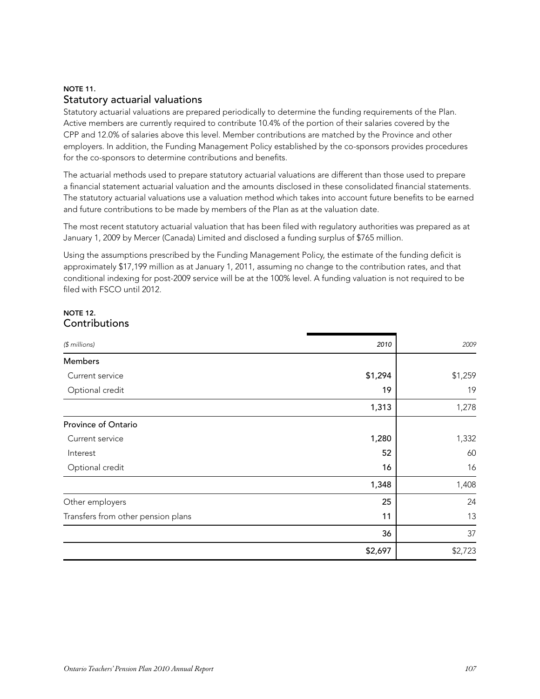## **NOTE 11.** Statutory actuarial valuations

Statutory actuarial valuations are prepared periodically to determine the funding requirements of the Plan. Active members are currently required to contribute 10.4% of the portion of their salaries covered by the CPP and 12.0% of salaries above this level. Member contributions are matched by the Province and other employers. In addition, the Funding Management Policy established by the co-sponsors provides procedures for the co-sponsors to determine contributions and benefits.

The actuarial methods used to prepare statutory actuarial valuations are different than those used to prepare a financial statement actuarial valuation and the amounts disclosed in these consolidated financial statements. The statutory actuarial valuations use a valuation method which takes into account future benefits to be earned and future contributions to be made by members of the Plan as at the valuation date.

The most recent statutory actuarial valuation that has been filed with regulatory authorities was prepared as at January 1, 2009 by Mercer (Canada) Limited and disclosed a funding surplus of \$765 million.

Using the assumptions prescribed by the Funding Management Policy, the estimate of the funding deficit is approximately \$17,199 million as at January 1, 2011, assuming no change to the contribution rates, and that conditional indexing for post-2009 service will be at the 100% level. A funding valuation is not required to be filed with FSCO until 2012.

#### NOTE 12. **Contributions**

| (\$ millions)                      | 2010    | 2009    |
|------------------------------------|---------|---------|
| Members                            |         |         |
| Current service                    | \$1,294 | \$1,259 |
| Optional credit                    | 19      | 19      |
|                                    | 1,313   | 1,278   |
| Province of Ontario                |         |         |
| Current service                    | 1,280   | 1,332   |
| Interest                           | 52      | 60      |
| Optional credit                    | 16      | 16      |
|                                    | 1,348   | 1,408   |
| Other employers                    | 25      | 24      |
| Transfers from other pension plans | 11      | 13      |
|                                    | 36      | 37      |
|                                    | \$2,697 | \$2,723 |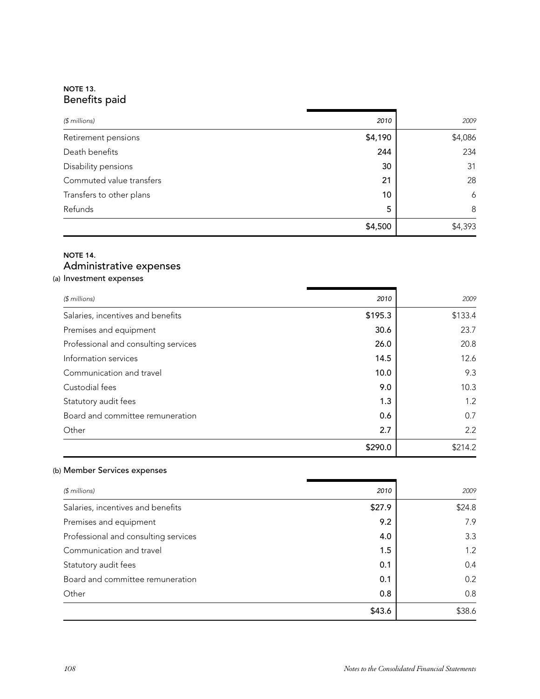## **NOTE 13.** Benefits paid

| $$$ millions)            | 2010    | 2009    |
|--------------------------|---------|---------|
| Retirement pensions      | \$4,190 | \$4,086 |
| Death benefits           | 244     | 234     |
| Disability pensions      | 30      | 31      |
| Commuted value transfers | 21      | 28      |
| Transfers to other plans | 10      | 6       |
| Refunds                  | 5       | 8       |
|                          | \$4,500 | \$4,393 |

### **NOTE 14.** Administrative expenses

## (a) Investment expenses

| (\$ millions)                        | 2010    | 2009    |
|--------------------------------------|---------|---------|
| Salaries, incentives and benefits    | \$195.3 | \$133.4 |
| Premises and equipment               | 30.6    | 23.7    |
| Professional and consulting services | 26.0    | 20.8    |
| Information services                 | 14.5    | 12.6    |
| Communication and travel             | 10.0    | 9.3     |
| Custodial fees                       | 9.0     | 10.3    |
| Statutory audit fees                 | 1.3     | 1.2     |
| Board and committee remuneration     | 0.6     | 0.7     |
| Other                                | 2.7     | 2.2     |
|                                      | \$290.0 | \$214.2 |

### (b) Member Services expenses

| (\$ millions)                        | 2010   | 2009   |
|--------------------------------------|--------|--------|
| Salaries, incentives and benefits    | \$27.9 | \$24.8 |
| Premises and equipment               | 9.2    | 7.9    |
| Professional and consulting services | 4.0    | 3.3    |
| Communication and travel             | 1.5    | 1.2    |
| Statutory audit fees                 | 0.1    | 0.4    |
| Board and committee remuneration     | 0.1    | 0.2    |
| Other                                | 0.8    | 0.8    |
|                                      | \$43.6 | \$38.6 |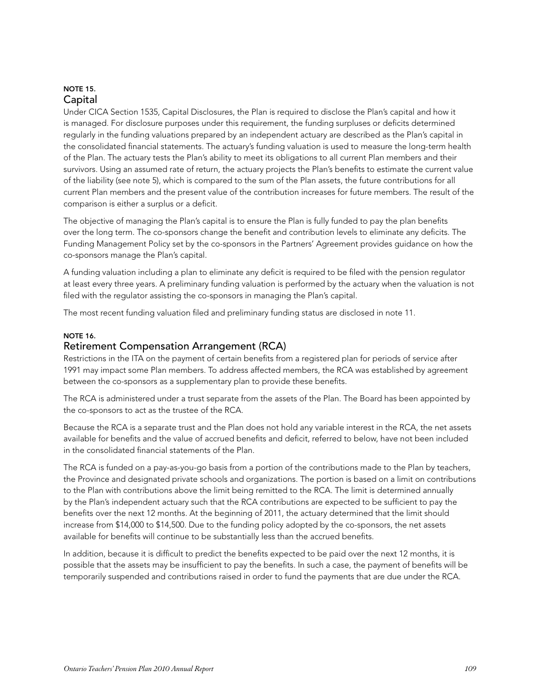#### **NOTE 15.** Capital

Under CICA Section 1535, Capital Disclosures, the Plan is required to disclose the Plan's capital and how it is managed. For disclosure purposes under this requirement, the funding surpluses or deficits determined regularly in the funding valuations prepared by an independent actuary are described as the Plan's capital in the consolidated financial statements. The actuary's funding valuation is used to measure the long-term health of the Plan. The actuary tests the Plan's ability to meet its obligations to all current Plan members and their survivors. Using an assumed rate of return, the actuary projects the Plan's benefits to estimate the current value of the liability (see note 5), which is compared to the sum of the Plan assets, the future contributions for all current Plan members and the present value of the contribution increases for future members. The result of the comparison is either a surplus or a deficit.

The objective of managing the Plan's capital is to ensure the Plan is fully funded to pay the plan benefits over the long term. The co-sponsors change the benefit and contribution levels to eliminate any deficits. The Funding Management Policy set by the co-sponsors in the Partners' Agreement provides guidance on how the co-sponsors manage the Plan's capital.

A funding valuation including a plan to eliminate any deficit is required to be filed with the pension regulator at least every three years. A preliminary funding valuation is performed by the actuary when the valuation is not filed with the regulator assisting the co-sponsors in managing the Plan's capital.

The most recent funding valuation filed and preliminary funding status are disclosed in note 11.

#### NOTE 16.

#### Retirement Compensation Arrangement (RCA)

Restrictions in the ITA on the payment of certain benefits from a registered plan for periods of service after 1991 may impact some Plan members. To address affected members, the RCA was established by agreement between the co-sponsors as a supplementary plan to provide these benefits.

The RCA is administered under a trust separate from the assets of the Plan. The Board has been appointed by the co-sponsors to act as the trustee of the RCA.

Because the RCA is a separate trust and the Plan does not hold any variable interest in the RCA, the net assets available for benefits and the value of accrued benefits and deficit, referred to below, have not been included in the consolidated financial statements of the Plan.

The RCA is funded on a pay-as-you-go basis from a portion of the contributions made to the Plan by teachers, the Province and designated private schools and organizations. The portion is based on a limit on contributions to the Plan with contributions above the limit being remitted to the RCA. The limit is determined annually by the Plan's independent actuary such that the RCA contributions are expected to be sufficient to pay the benefits over the next 12 months. At the beginning of 2011, the actuary determined that the limit should increase from \$14,000 to \$14,500. Due to the funding policy adopted by the co-sponsors, the net assets available for benefits will continue to be substantially less than the accrued benefits.

In addition, because it is difficult to predict the benefits expected to be paid over the next 12 months, it is possible that the assets may be insufficient to pay the benefits. In such a case, the payment of benefits will be temporarily suspended and contributions raised in order to fund the payments that are due under the RCA.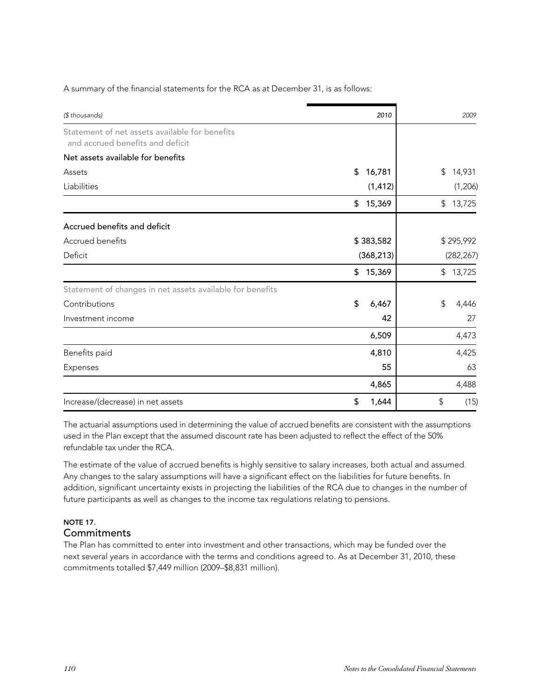| (\$ thousands)                                                                     | 2010         | 2009                   |
|------------------------------------------------------------------------------------|--------------|------------------------|
| Statement of net assets available for benefits<br>and accrued benefits and deficit |              |                        |
| Net assets available for benefits                                                  |              |                        |
| Assets                                                                             | 16,781<br>\$ | \$<br>14,931           |
| Liabilities                                                                        | (1, 412)     | (1,206)                |
|                                                                                    | \$<br>15,369 | 13,725<br>$\mathsf{S}$ |
| Accrued benefits and deficit                                                       |              |                        |
| Accrued benefits                                                                   | \$383,582    | \$295,992              |
| Deficit                                                                            | (368, 213)   | (282, 267)             |
|                                                                                    | 15,369<br>\$ | \$13,725               |
| Statement of changes in net assets available for benefits                          |              |                        |
| Contributions                                                                      | \$<br>6,467  | \$<br>4,446            |
| Investment income                                                                  | 42           | 27                     |
|                                                                                    | 6,509        | 4,473                  |
| Benefits paid                                                                      | 4,810        | 4,425                  |
| Expenses                                                                           | 55           | 63                     |
|                                                                                    | 4,865        | 4,488                  |
| Increase/(decrease) in net assets                                                  | \$<br>1,644  | \$<br>(15)             |

#### A summary of the financial statements for the RCA as at December 31, is as follows:

The actuarial assumptions used in determining the value of accrued benefits are consistent with the assumptions used in the Plan except that the assumed discount rate has been adjusted to reflect the effect of the 50% refundable tax under the RCA.

The estimate of the value of accrued benefits is highly sensitive to salary increases, both actual and assumed. Any changes to the salary assumptions will have a significant effect on the liabilities for future benefits. In addition, significant uncertainty exists in projecting the liabilities of the RCA due to changes in the number of future participants as well as changes to the income tax regulations relating to pensions.

#### **NOTE 17. Commitments**

The Plan has committed to enter into investment and other transactions, which may be funded over the next several years in accordance with the terms and conditions agreed to. As at December 31, 2010, these commitments totalled \$7,449 million (2009–\$8,831 million).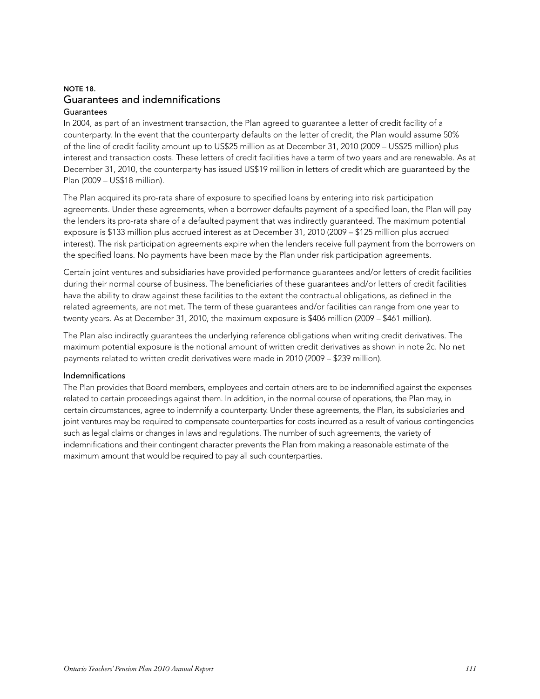#### NOTE 18. Guarantees and indemnifications **Guarantees**

In 2004, as part of an investment transaction, the Plan agreed to guarantee a letter of credit facility of a counterparty. In the event that the counterparty defaults on the letter of credit, the Plan would assume 50% of the line of credit facility amount up to US\$25 million as at December 31, 2010 (2009 – US\$25 million) plus interest and transaction costs. These letters of credit facilities have a term of two years and are renewable. As at December 31, 2010, the counterparty has issued US\$19 million in letters of credit which are guaranteed by the Plan (2009 – US\$18 million).

The Plan acquired its pro-rata share of exposure to specified loans by entering into risk participation agreements. Under these agreements, when a borrower defaults payment of a specified loan, the Plan will pay the lenders its pro-rata share of a defaulted payment that was indirectly guaranteed. The maximum potential exposure is \$133 million plus accrued interest as at December 31, 2010 (2009 – \$125 million plus accrued interest). The risk participation agreements expire when the lenders receive full payment from the borrowers on the specified loans. No payments have been made by the Plan under risk participation agreements.

Certain joint ventures and subsidiaries have provided performance guarantees and/or letters of credit facilities during their normal course of business. The beneficiaries of these guarantees and/or letters of credit facilities have the ability to draw against these facilities to the extent the contractual obligations, as defined in the related agreements, are not met. The term of these guarantees and/or facilities can range from one year to twenty years. As at December 31, 2010, the maximum exposure is \$406 million (2009 – \$461 million).

The Plan also indirectly guarantees the underlying reference obligations when writing credit derivatives. The maximum potential exposure is the notional amount of written credit derivatives as shown in note 2c. No net payments related to written credit derivatives were made in 2010 (2009 – \$239 million).

#### Indemnifications

The Plan provides that Board members, employees and certain others are to be indemnified against the expenses related to certain proceedings against them. In addition, in the normal course of operations, the Plan may, in certain circumstances, agree to indemnify a counterparty. Under these agreements, the Plan, its subsidiaries and joint ventures may be required to compensate counterparties for costs incurred as a result of various contingencies such as legal claims or changes in laws and regulations. The number of such agreements, the variety of indemnifications and their contingent character prevents the Plan from making a reasonable estimate of the maximum amount that would be required to pay all such counterparties.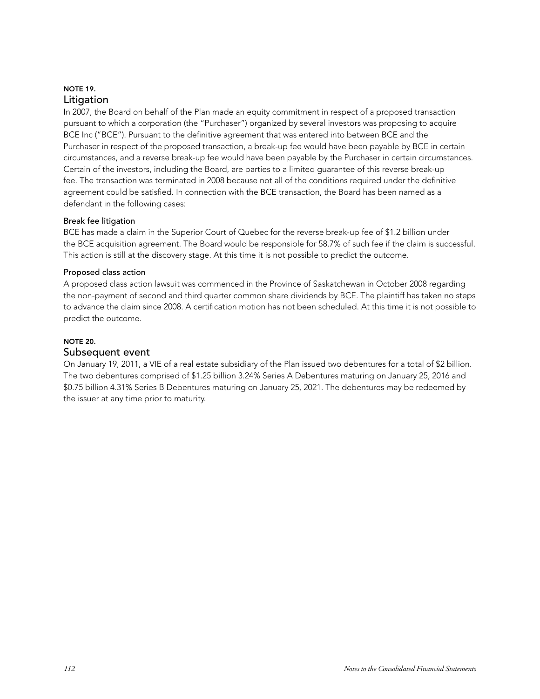#### **NOTE 19. Litigation**

In 2007, the Board on behalf of the Plan made an equity commitment in respect of a proposed transaction pursuant to which a corporation (the "Purchaser") organized by several investors was proposing to acquire BCE Inc ("BCE"). Pursuant to the definitive agreement that was entered into between BCE and the Purchaser in respect of the proposed transaction, a break-up fee would have been payable by BCE in certain circumstances, and a reverse break-up fee would have been payable by the Purchaser in certain circumstances. Certain of the investors, including the Board, are parties to a limited guarantee of this reverse break-up fee. The transaction was terminated in 2008 because not all of the conditions required under the definitive agreement could be satisfied. In connection with the BCE transaction, the Board has been named as a defendant in the following cases:

#### Break fee litigation

BCE has made a claim in the Superior Court of Quebec for the reverse break-up fee of \$1.2 billion under the BCE acquisition agreement. The Board would be responsible for 58.7% of such fee if the claim is successful. This action is still at the discovery stage. At this time it is not possible to predict the outcome.

#### Proposed class action

A proposed class action lawsuit was commenced in the Province of Saskatchewan in October 2008 regarding the non-payment of second and third quarter common share dividends by BCE. The plaintiff has taken no steps to advance the claim since 2008. A certification motion has not been scheduled. At this time it is not possible to predict the outcome.

## NOTE 20.

#### Subsequent event

On January 19, 2011, a VIE of a real estate subsidiary of the Plan issued two debentures for a total of \$2 billion. The two debentures comprised of \$1.25 billion 3.24% Series A Debentures maturing on January 25, 2016 and \$0.75 billion 4.31% Series B Debentures maturing on January 25, 2021. The debentures may be redeemed by the issuer at any time prior to maturity.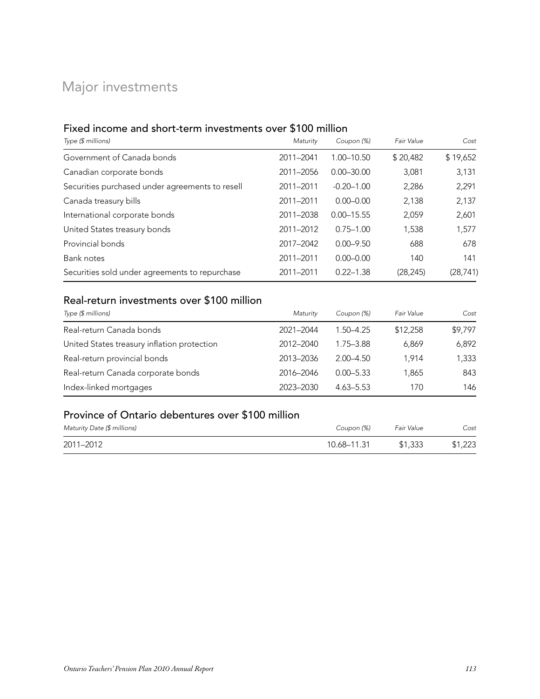## Major investments

## Fixed income and short-term investments over \$100 million

| Type (\$ millions)                              | Maturity  | Coupon (%)     | Fair Value | Cost     |
|-------------------------------------------------|-----------|----------------|------------|----------|
| Government of Canada bonds                      | 2011-2041 | 1.00-10.50     | \$20,482   | \$19,652 |
| Canadian corporate bonds                        | 2011-2056 | $0.00 - 30.00$ | 3,081      | 3,131    |
| Securities purchased under agreements to resell | 2011-2011 | $-0.20 - 1.00$ | 2,286      | 2,291    |
| Canada treasury bills                           | 2011-2011 | $0.00 - 0.00$  | 2,138      | 2,137    |
| International corporate bonds                   | 2011-2038 | $0.00 - 15.55$ | 2,059      | 2,601    |
| United States treasury bonds                    | 2011-2012 | $0.75 - 1.00$  | 1,538      | 1,577    |
| Provincial bonds                                | 2017-2042 | $0.00 - 9.50$  | 688        | 678      |
| Bank notes                                      | 2011-2011 | $0.00 - 0.00$  | 140        | 141      |
| Securities sold under agreements to repurchase  | 2011-2011 | $0.22 - 1.38$  | (28, 245)  | (28,741) |

## Real-return investments over \$100 million

| Type (\$ millions)                          | Maturity  | Coupon (%)    | Fair Value | Cost    |
|---------------------------------------------|-----------|---------------|------------|---------|
| Real-return Canada bonds                    | 2021-2044 | 1.50–4.25     | \$12,258   | \$9,797 |
| United States treasury inflation protection | 2012-2040 | 1.75-3.88     | 6.869      | 6,892   |
| Real-return provincial bonds                | 2013-2036 | $2.00 - 4.50$ | 1.914      | 1,333   |
| Real-return Canada corporate bonds          | 2016-2046 | $0.00 - 5.33$ | 1.865      | 843     |
| Index-linked mortgages                      | 2023-2030 | 4.63–5.53     | 170        | 146     |

## Province of Ontario debentures over \$100 million

| Maturity Date (\$ millions) | Coupon (%)  | Fair Value | Cost    |
|-----------------------------|-------------|------------|---------|
| 2011-2012                   | 10.68–11.31 | \$1,333    | \$1,223 |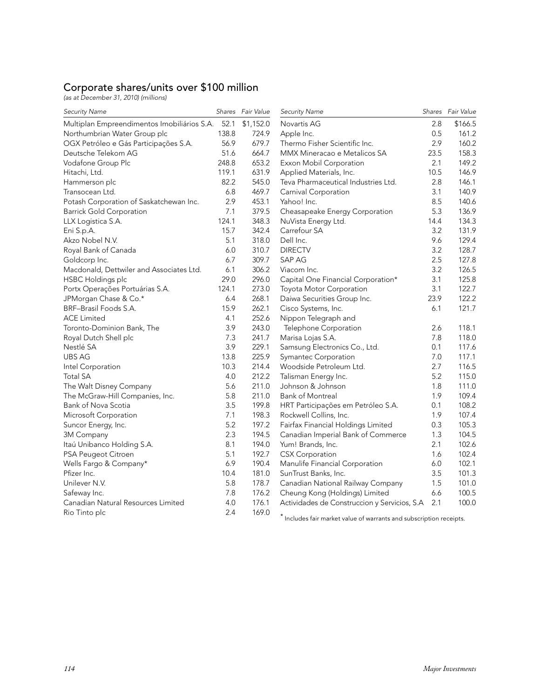## Corporate shares/units over \$100 million

*(as at December 31, 2010) (millions)*

| Security Name                               |       | Shares Fair Value | <b>Security Name</b>                                              |      | Shares Fair Value |
|---------------------------------------------|-------|-------------------|-------------------------------------------------------------------|------|-------------------|
| Multiplan Empreendimentos Imobiliários S.A. | 52.1  | \$1,152.0         | Novartis AG                                                       | 2.8  | \$166.5           |
| Northumbrian Water Group plc                | 138.8 | 724.9             | Apple Inc.                                                        | 0.5  | 161.2             |
| OGX Petróleo e Gás Participações S.A.       | 56.9  | 679.7             | Thermo Fisher Scientific Inc.                                     | 2.9  | 160.2             |
| Deutsche Telekom AG                         | 51.6  | 664.7             | MMX Mineracao e Metalicos SA                                      | 23.5 | 158.3             |
| Vodafone Group Plc                          | 248.8 | 653.2             | Exxon Mobil Corporation                                           | 2.1  | 149.2             |
| Hitachi, Ltd.                               | 119.1 | 631.9             | Applied Materials, Inc.                                           | 10.5 | 146.9             |
| Hammerson plc                               | 82.2  | 545.0             | Teva Pharmaceutical Industries Ltd.                               | 2.8  | 146.1             |
| Transocean Ltd.                             | 6.8   | 469.7             | Carnival Corporation                                              | 3.1  | 140.9             |
| Potash Corporation of Saskatchewan Inc.     | 2.9   | 453.1             | Yahoo! Inc.                                                       | 8.5  | 140.6             |
| <b>Barrick Gold Corporation</b>             | 7.1   | 379.5             | Cheasapeake Energy Corporation                                    | 5.3  | 136.9             |
| LLX Logistica S.A.                          | 124.1 | 348.3             | NuVista Energy Ltd.                                               | 14.4 | 134.3             |
| Eni S.p.A.                                  | 15.7  | 342.4             | Carrefour SA                                                      | 3.2  | 131.9             |
| Akzo Nobel N.V.                             | 5.1   | 318.0             | Dell Inc.                                                         | 9.6  | 129.4             |
| Royal Bank of Canada                        | 6.0   | 310.7             | <b>DIRECTV</b>                                                    | 3.2  | 128.7             |
| Goldcorp Inc.                               | 6.7   | 309.7             | SAP AG                                                            | 2.5  | 127.8             |
| Macdonald, Dettwiler and Associates Ltd.    | 6.1   | 306.2             | Viacom Inc.                                                       | 3.2  | 126.5             |
| <b>HSBC Holdings plc</b>                    | 29.0  | 296.0             | Capital One Financial Corporation*                                | 3.1  | 125.8             |
| Portx Operações Portuárias S.A.             | 124.1 | 273.0             | Toyota Motor Corporation                                          | 3.1  | 122.7             |
| JPMorgan Chase & Co.*                       | 6.4   | 268.1             | Daiwa Securities Group Inc.                                       | 23.9 | 122.2             |
| BRF-Brasil Foods S.A.                       | 15.9  | 262.1             | Cisco Systems, Inc.                                               | 6.1  | 121.7             |
| <b>ACE Limited</b>                          | 4.1   | 252.6             | Nippon Telegraph and                                              |      |                   |
| Toronto-Dominion Bank, The                  | 3.9   | 243.0             | Telephone Corporation                                             | 2.6  | 118.1             |
| Royal Dutch Shell plc                       | 7.3   | 241.7             | Marisa Lojas S.A.                                                 | 7.8  | 118.0             |
| Nestlé SA                                   | 3.9   | 229.1             | Samsung Electronics Co., Ltd.                                     | 0.1  | 117.6             |
| <b>UBS AG</b>                               | 13.8  | 225.9             | Symantec Corporation                                              | 7.0  | 117.1             |
| Intel Corporation                           | 10.3  | 214.4             | Woodside Petroleum Ltd.                                           | 2.7  | 116.5             |
| <b>Total SA</b>                             | 4.0   | 212.2             | Talisman Energy Inc.                                              | 5.2  | 115.0             |
| The Walt Disney Company                     | 5.6   | 211.0             | Johnson & Johnson                                                 | 1.8  | 111.0             |
| The McGraw-Hill Companies, Inc.             | 5.8   | 211.0             | Bank of Montreal                                                  | 1.9  | 109.4             |
| Bank of Nova Scotia                         | 3.5   | 199.8             | HRT Participações em Petróleo S.A.                                | 0.1  | 108.2             |
| Microsoft Corporation                       | 7.1   | 198.3             | Rockwell Collins, Inc.                                            | 1.9  | 107.4             |
| Suncor Energy, Inc.                         | 5.2   | 197.2             | Fairfax Financial Holdings Limited                                | 0.3  | 105.3             |
| 3M Company                                  | 2.3   | 194.5             | Canadian Imperial Bank of Commerce                                | 1.3  | 104.5             |
| Itaú Unibanco Holding S.A.                  | 8.1   | 194.0             | Yum! Brands, Inc.                                                 | 2.1  | 102.6             |
| PSA Peugeot Citroen                         | 5.1   | 192.7             | <b>CSX Corporation</b>                                            | 1.6  | 102.4             |
| Wells Fargo & Company*                      | 6.9   | 190.4             | Manulife Financial Corporation                                    | 6.0  | 102.1             |
| Pfizer Inc.                                 | 10.4  | 181.0             | SunTrust Banks, Inc.                                              | 3.5  | 101.3             |
| Unilever N.V.                               | 5.8   | 178.7             | Canadian National Railway Company                                 | 1.5  | 101.0             |
| Safeway Inc.                                | 7.8   | 176.2             | Cheung Kong (Holdings) Limited                                    | 6.6  | 100.5             |
| Canadian Natural Resources Limited          | 4.0   | 176.1             | Actividades de Construccion y Servicios, S.A                      | 2.1  | 100.0             |
| Rio Tinto plc                               | 2.4   | 169.0             | Includes fair market value of warrants and subscription receipts. |      |                   |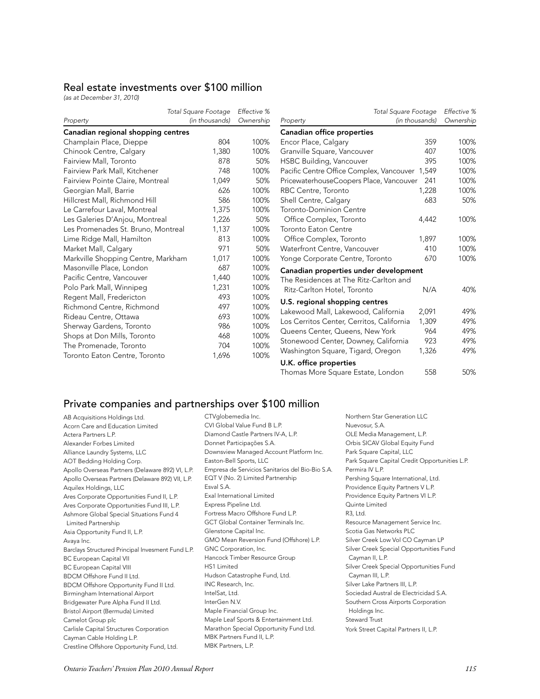## Real estate investments over \$100 million

*(as at December 31, 2010)*

| Property                           | Total Square Footage<br>(in thousands) | Effective %<br>Ownership | Property                                                                                         | Total Square Footage<br>(in thousands) | Effective %<br>Ownership |
|------------------------------------|----------------------------------------|--------------------------|--------------------------------------------------------------------------------------------------|----------------------------------------|--------------------------|
| Canadian regional shopping centres |                                        |                          | Canadian office properties                                                                       |                                        |                          |
| Champlain Place, Dieppe            | 804                                    | 100%                     | Encor Place, Calgary                                                                             | 359                                    | 100%                     |
| Chinook Centre, Calgary            | 1,380                                  | 100%                     | Granville Square, Vancouver                                                                      | 407                                    | 100%                     |
| Fairview Mall, Toronto             | 878                                    | 50%                      | <b>HSBC Building, Vancouver</b>                                                                  | 395                                    | 100%                     |
| Fairview Park Mall, Kitchener      | 748                                    | 100%                     |                                                                                                  |                                        | 100%                     |
| Fairview Pointe Claire, Montreal   | 1,049                                  | 50%                      | Pacific Centre Office Complex, Vancouver 1,549<br>PricewaterhouseCoopers Place, Vancouver<br>241 |                                        | 100%                     |
| Georgian Mall, Barrie              | 626                                    | 100%                     | RBC Centre, Toronto                                                                              | 1,228                                  | 100%                     |
| Hillcrest Mall, Richmond Hill      | 586                                    | 100%                     | Shell Centre, Calgary                                                                            | 683                                    | 50%                      |
| Le Carrefour Laval, Montreal       | 1,375                                  | 100%                     | <b>Toronto-Dominion Centre</b>                                                                   |                                        |                          |
| Les Galeries D'Anjou, Montreal     | 1,226                                  | 50%                      | Office Complex, Toronto                                                                          | 4,442                                  | 100%                     |
|                                    | 1,137                                  | 100%                     | <b>Toronto Eaton Centre</b>                                                                      |                                        |                          |
| Les Promenades St. Bruno, Montreal | 813                                    | 100%                     |                                                                                                  | 1,897                                  | 100%                     |
| Lime Ridge Mall, Hamilton          | 971                                    | 50%                      | Office Complex, Toronto                                                                          | 410                                    | 100%                     |
| Market Mall, Calgary               |                                        |                          | Waterfront Centre, Vancouver                                                                     |                                        |                          |
| Markville Shopping Centre, Markham | 1,017                                  | 100%                     | Yonge Corporate Centre, Toronto                                                                  | 670                                    | 100%                     |
| Masonville Place, London           | 687                                    | 100%                     | Canadian properties under development                                                            |                                        |                          |
| Pacific Centre, Vancouver          | 1,440                                  | 100%                     | The Residences at The Ritz-Carlton and                                                           |                                        |                          |
| Polo Park Mall, Winnipeg           | 1,231                                  | 100%                     | Ritz-Carlton Hotel, Toronto                                                                      | N/A                                    | 40%                      |
| Regent Mall, Fredericton           | 493                                    | 100%                     | U.S. regional shopping centres                                                                   |                                        |                          |
| Richmond Centre, Richmond          | 497                                    | 100%                     | Lakewood Mall, Lakewood, California                                                              | 2,091                                  | 49%                      |
| Rideau Centre, Ottawa              | 693                                    | 100%                     | Los Cerritos Center, Cerritos, California                                                        | 1,309                                  | 49%                      |
| Sherway Gardens, Toronto           | 986                                    | 100%                     | Queens Center, Queens, New York                                                                  | 964                                    | 49%                      |
| Shops at Don Mills, Toronto        | 468                                    | 100%                     | Stonewood Center, Downey, California                                                             | 923                                    | 49%                      |
| The Promenade, Toronto             | 704                                    | 100%                     | Washington Square, Tigard, Oregon                                                                | 1,326                                  | 49%                      |
| Toronto Eaton Centre, Toronto      | 1,696                                  | 100%                     |                                                                                                  |                                        |                          |
|                                    |                                        |                          | U.K. office properties<br>Thomas More Square Estate, London                                      | 558                                    | 50%                      |

### Private companies and partnerships over \$100 million

AB Acquisitions Holdings Ltd. Acorn Care and Education Limited Actera Partners L.P. Alexander Forbes Limited Alliance Laundry Systems, LLC AOT Bedding Holding Corp. Apollo Overseas Partners (Delaware 892) VI, L.P. Apollo Overseas Partners (Delaware 892) VII, L.P. Aquilex Holdings, LLC Ares Corporate Opportunities Fund II, L.P. Ares Corporate Opportunities Fund III, L.P. Ashmore Global Special Situations Fund 4 Limited Partnership Asia Opportunity Fund II, L.P. Avaya Inc. Barclays Structured Principal Invesment Fund L.P. BC European Capital VII BC European Capital VIII BDCM Offshore Fund II Ltd. BDCM Offshore Opportunity Fund II Ltd. Birmingham International Airport Bridgewater Pure Alpha Fund II Ltd. Bristol Airport (Bermuda) Limited Camelot Group plc Carlisle Capital Structures Corporation Cayman Cable Holding L.P. Crestline Offshore Opportunity Fund, Ltd.

CTVglobemedia Inc. CVI Global Value Fund B L.P. Diamond Castle Partners IV-A, L.P. Donnet Participações S.A. Downsview Managed Account Platform Inc. Easton-Bell Sports, LLC Empresa de Servicios Sanitarios del Bio-Bio S.A. EQT V (No. 2) Limited Partnership Esval S.A. Exal International Limited Express Pipeline Ltd. Fortress Macro Offshore Fund L.P. GCT Global Container Terminals Inc. Glenstone Capital Inc. GMO Mean Reversion Fund (Offshore) L.P. GNC Corporation, Inc. Hancock Timber Resource Group HS1 Limited Hudson Catastrophe Fund, Ltd. INC Research, Inc. IntelSat, Ltd. InterGen N.V. Maple Financial Group Inc. Maple Leaf Sports & Entertainment Ltd. Marathon Special Opportunity Fund Ltd. MBK Partners Fund II, L.P. MBK Partners, L.P.

Northern Star Generation LLC Nuevosur, S.A. OLE Media Management, L.P. Orbis SICAV Global Equity Fund Park Square Capital, LLC Park Square Capital Credit Opportunities L.P. Permira IV L.P. Pershing Square International, Ltd. Providence Equity Partners V L.P. Providence Equity Partners VI L.P. Quinte Limited R3, Ltd. Resource Management Service Inc. Scotia Gas Networks PLC Silver Creek Low Vol CO Cayman LP Silver Creek Special Opportunities Fund Cayman II, L.P. Silver Creek Special Opportunities Fund Cayman III, L.P. Silver Lake Partners III, L.P. Sociedad Austral de Electricidad S.A. Southern Cross Airports Corporation Holdings Inc. Steward Trust York Street Capital Partners II, L.P.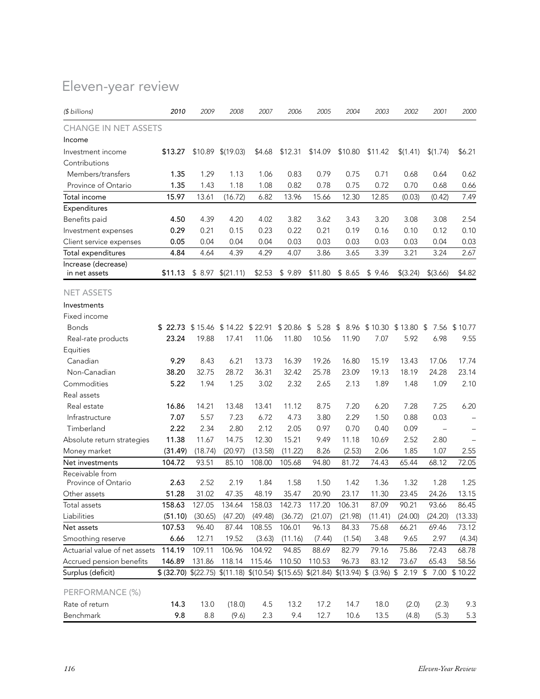# Eleven-year review

| (\$ billions)                 | 2010                                                                                                             | 2009    | 2008      | 2007    | 2006    | 2005       | 2004       | 2003    | 2002       | 2001       | 2000    |
|-------------------------------|------------------------------------------------------------------------------------------------------------------|---------|-----------|---------|---------|------------|------------|---------|------------|------------|---------|
| <b>CHANGE IN NET ASSETS</b>   |                                                                                                                  |         |           |         |         |            |            |         |            |            |         |
| Income                        |                                                                                                                  |         |           |         |         |            |            |         |            |            |         |
| Investment income             | \$13.27                                                                                                          | \$10.89 | \$(19.03) | \$4.68  | \$12.31 | \$14.09    | \$10.80    | \$11.42 | \$(1.41)   | \$(1.74)   | \$6.21  |
| Contributions                 |                                                                                                                  |         |           |         |         |            |            |         |            |            |         |
| Members/transfers             | 1.35                                                                                                             | 1.29    | 1.13      | 1.06    | 0.83    | 0.79       | 0.75       | 0.71    | 0.68       | 0.64       | 0.62    |
| Province of Ontario           | 1.35                                                                                                             | 1.43    | 1.18      | 1.08    | 0.82    | 0.78       | 0.75       | 0.72    | 0.70       | 0.68       | 0.66    |
| Total income                  | 15.97                                                                                                            | 13.61   | (16.72)   | 6.82    | 13.96   | 15.66      | 12.30      | 12.85   | (0.03)     | (0.42)     | 7.49    |
| Expenditures                  |                                                                                                                  |         |           |         |         |            |            |         |            |            |         |
| Benefits paid                 | 4.50                                                                                                             | 4.39    | 4.20      | 4.02    | 3.82    | 3.62       | 3.43       | 3.20    | 3.08       | 3.08       | 2.54    |
| Investment expenses           | 0.29                                                                                                             | 0.21    | 0.15      | 0.23    | 0.22    | 0.21       | 0.19       | 0.16    | 0.10       | 0.12       | 0.10    |
| Client service expenses       | 0.05                                                                                                             | 0.04    | 0.04      | 0.04    | 0.03    | 0.03       | 0.03       | 0.03    | 0.03       | 0.04       | 0.03    |
| Total expenditures            | 4.84                                                                                                             | 4.64    | 4.39      | 4.29    | 4.07    | 3.86       | 3.65       | 3.39    | 3.21       | 3.24       | 2.67    |
| Increase (decrease)           |                                                                                                                  |         |           |         |         |            |            |         |            |            |         |
| in net assets                 | \$11.13                                                                                                          | \$8.97  | \$(21.11) | \$2.53  | \$9.89  | \$11.80    | \$8.65     | \$9.46  | $$$ (3.24) | $$$ (3.66) | \$4.82  |
| <b>NET ASSETS</b>             |                                                                                                                  |         |           |         |         |            |            |         |            |            |         |
| Investments                   |                                                                                                                  |         |           |         |         |            |            |         |            |            |         |
| Fixed income                  |                                                                                                                  |         |           |         |         |            |            |         |            |            |         |
| Bonds                         | \$22.73                                                                                                          | \$15.46 | \$14.22   | \$22.91 | \$20.86 | 5.28<br>\$ | \$<br>8.96 | \$10.30 | \$13.80    | \$<br>7.56 | \$10.77 |
| Real-rate products            | 23.24                                                                                                            | 19.88   | 17.41     | 11.06   | 11.80   | 10.56      | 11.90      | 7.07    | 5.92       | 6.98       | 9.55    |
| Equities                      |                                                                                                                  |         |           |         |         |            |            |         |            |            |         |
| Canadian                      | 9.29                                                                                                             | 8.43    | 6.21      | 13.73   | 16.39   | 19.26      | 16.80      | 15.19   | 13.43      | 17.06      | 17.74   |
| Non-Canadian                  | 38.20                                                                                                            | 32.75   | 28.72     | 36.31   | 32.42   | 25.78      | 23.09      | 19.13   | 18.19      | 24.28      | 23.14   |
| Commodities                   | 5.22                                                                                                             | 1.94    | 1.25      | 3.02    | 2.32    | 2.65       | 2.13       | 1.89    | 1.48       | 1.09       | 2.10    |
| Real assets                   |                                                                                                                  |         |           |         |         |            |            |         |            |            |         |
| Real estate                   | 16.86                                                                                                            | 14.21   | 13.48     | 13.41   | 11.12   | 8.75       | 7.20       | 6.20    | 7.28       | 7.25       | 6.20    |
| Infrastructure                | 7.07                                                                                                             | 5.57    | 7.23      | 6.72    | 4.73    | 3.80       | 2.29       | 1.50    | 0.88       | 0.03       |         |
| Timberland                    | 2.22                                                                                                             | 2.34    | 2.80      | 2.12    | 2.05    | 0.97       | 0.70       | 0.40    | 0.09       |            |         |
| Absolute return strategies    | 11.38                                                                                                            | 11.67   | 14.75     | 12.30   | 15.21   | 9.49       | 11.18      | 10.69   | 2.52       | 2.80       |         |
| Money market                  | (31.49)                                                                                                          | (18.74) | (20.97)   | (13.58) | (11.22) | 8.26       | (2.53)     | 2.06    | 1.85       | 1.07       | 2.55    |
| Net investments               | 104.72                                                                                                           | 93.51   | 85.10     | 108.00  | 105.68  | 94.80      | 81.72      | 74.43   | 65.44      | 68.12      | 72.05   |
| Receivable from               |                                                                                                                  |         |           |         |         |            |            |         |            |            |         |
| Province of Ontario           | 2.63                                                                                                             | 2.52    | 2.19      | 1.84    | 1.58    | 1.50       | 1.42       | 1.36    | 1.32       | 1.28       | 1.25    |
| Other assets                  | 51.28                                                                                                            | 31.02   | 47.35     | 48.19   | 35.47   | 20.90      | 23.17      | 11.30   | 23.45      | 24.26      | 13.15   |
| Total assets                  | 158.63                                                                                                           | 127.05  | 134.64    | 158.03  | 142.73  | 117.20     | 106.31     | 87.09   | 90.21      | 93.66      | 86.45   |
| Liabilities                   | (51.10)                                                                                                          | (30.65) | (47.20)   | (49.48) | (36.72) | (21.07)    | (21.98)    | (11.41) | (24.00)    | (24.20)    | (13.33) |
| Net assets                    | 107.53                                                                                                           | 96.40   | 87.44     | 108.55  | 106.01  | 96.13      | 84.33      | 75.68   | 66.21      | 69.46      | 73.12   |
| Smoothing reserve             | 6.66                                                                                                             | 12.71   | 19.52     | (3.63)  | (11.16) | (7.44)     | (1.54)     | 3.48    | 9.65       | 2.97       | (4.34)  |
| Actuarial value of net assets | 114.19                                                                                                           | 109.11  | 106.96    | 104.92  | 94.85   | 88.69      | 82.79      | 79.16   | 75.86      | 72.43      | 68.78   |
| Accrued pension benefits      | 146.89                                                                                                           | 131.86  | 118.14    | 115.46  | 110.50  | 110.53     | 96.73      | 83.12   | 73.67      | 65.43      | 58.56   |
| Surplus (deficit)             | $$$ (32.70) $$$ (22.75) $$$ (11.18) $$$ (10.54) $$$ (15.65) $$$ (21.84) $$$ (13.94) $$$ (3.96) $$$ 2.19 $$$ 7.00 |         |           |         |         |            |            |         |            |            | \$10.22 |
| PERFORMANCE (%)               |                                                                                                                  |         |           |         |         |            |            |         |            |            |         |
| Rate of return                | 14.3                                                                                                             | 13.0    | (18.0)    | 4.5     | 13.2    | 17.2       | 14.7       | 18.0    | (2.0)      | (2.3)      | 9.3     |
| Benchmark                     | 9.8                                                                                                              | $8.8\,$ | (9.6)     | 2.3     | 9.4     | 12.7       | 10.6       | 13.5    | (4.8)      | (5.3)      | 5.3     |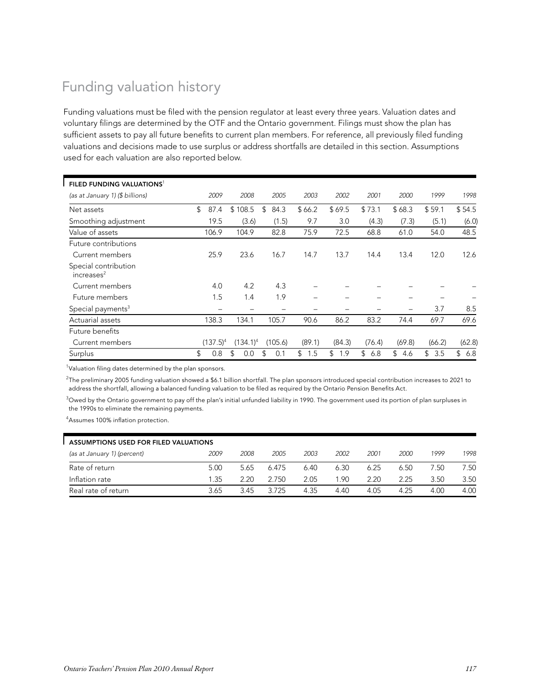## Funding valuation history

Funding valuations must be filed with the pension regulator at least every three years. Valuation dates and voluntary filings are determined by the OTF and the Ontario government. Filings must show the plan has sufficient assets to pay all future benefits to current plan members. For reference, all previously filed funding valuations and decisions made to use surplus or address shortfalls are detailed in this section. Assumptions used for each valuation are also reported below.

| FILED FUNDING VALUATIONS <sup>1</sup>          |             |           |             |            |       |           |           |           |                 |           |                       |
|------------------------------------------------|-------------|-----------|-------------|------------|-------|-----------|-----------|-----------|-----------------|-----------|-----------------------|
| (as at January 1) (\$ billions)                |             | 2009      | 2008        | 2005       |       | 2003      | 2002      | 2001      | 2000            | 1999      | 1998                  |
| Net assets                                     | \$<br>87    | $\cdot$ 4 | \$108.5     | \$<br>84.3 |       | \$66.2    | \$69.5    | \$73.1    | \$68.3          | \$59.1    | \$54.5                |
| Smoothing adjustment                           |             | 19.5      | (3.6)       |            | (1.5) | 9.7       | 3.0       | (4.3)     | (7.3)           | (5.1)     | (6.0)                 |
| Value of assets                                | 106.9       |           | 104.9       | 82.8       |       | 75.9      | 72.5      | 68.8      | 61.0            | 54.0      | 48.5                  |
| Future contributions                           |             |           |             |            |       |           |           |           |                 |           |                       |
| Current members                                |             | 25.9      | 23.6        | 16.7       |       | 14.7      | 13.7      | 14.4      | 13.4            | 12.0      | 12.6                  |
| Special contribution<br>increases <sup>2</sup> |             |           |             |            |       |           |           |           |                 |           |                       |
| Current members                                |             | 4.0       | 4.2         |            | 4.3   |           |           |           |                 |           |                       |
| Future members                                 |             | 1.5       | 1.4         |            | 1.9   |           |           |           |                 |           |                       |
| Special payments <sup>3</sup>                  |             |           |             |            |       |           |           |           | $\qquad \qquad$ | 3.7       | 8.5                   |
| Actuarial assets                               | 138.3       |           | 134.1       | 105.7      |       | 90.6      | 86.2      | 83.2      | 74.4            | 69.7      | 69.6                  |
| Future benefits                                |             |           |             |            |       |           |           |           |                 |           |                       |
| Current members                                | $(137.5)^4$ |           | $(134.1)^4$ | (105.6)    |       | (89.1)    | (84.3)    | (76.4)    | (69.8)          | (66.2)    | (62.8)                |
| Surplus                                        | \$          | 0.8       | \$<br>0.0   | \$<br>0.1  |       | \$<br>1.5 | \$<br>1.9 | \$<br>6.8 | \$<br>4.6       | \$<br>3.5 | $\mathfrak{L}$<br>6.8 |

<sup>1</sup>Valuation filing dates determined by the plan sponsors.

2 The preliminary 2005 funding valuation showed a \$6.1 billion shortfall. The plan sponsors introduced special contribution increases to 2021 to address the shortfall, allowing a balanced funding valuation to be filed as required by the Ontario Pension Benefits Act.

 $^3$ Owed by the Ontario government to pay off the plan's initial unfunded liability in 1990. The government used its portion of plan surpluses in the 1990s to eliminate the remaining payments.

4 Assumes 100% inflation protection.

| ASSUMPTIONS USED FOR FILED VALUATIONS |      |      |       |      |      |      |      |      |      |  |  |
|---------------------------------------|------|------|-------|------|------|------|------|------|------|--|--|
| (as at January 1) (percent)           | 2009 | 2008 | 2005  | 2003 | 2002 | 2001 | 2000 | 1999 | 1998 |  |  |
| Rate of return                        | 5.00 | 5.65 | 6.475 | 6.40 | 6.30 | 6.25 | 6.50 | 7.50 | 7.50 |  |  |
| Inflation rate                        | 1.35 | 2.20 | 2 750 | 2.05 | 1.90 | 2.20 | 2.25 | 3.50 | 3.50 |  |  |
| Real rate of return                   | 3.65 | 3.45 | 3725  | 4.35 | 4.40 | 4.05 | 4.25 | 4.00 | 4.00 |  |  |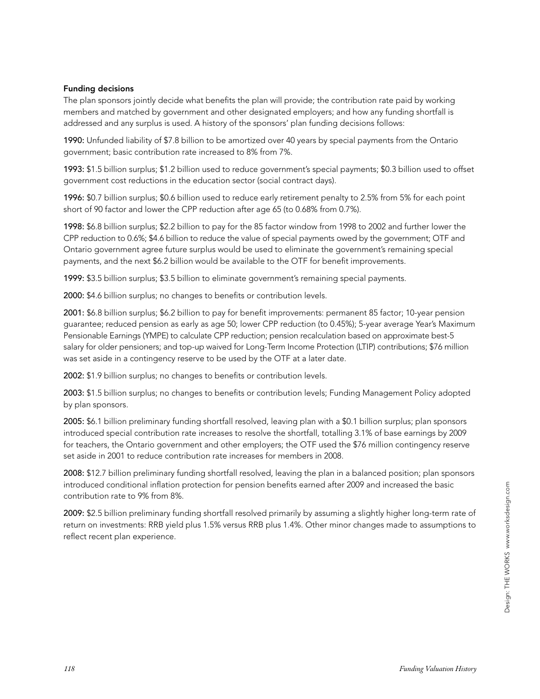#### Funding decisions

The plan sponsors jointly decide what benefits the plan will provide; the contribution rate paid by working members and matched by government and other designated employers; and how any funding shortfall is addressed and any surplus is used. A history of the sponsors' plan funding decisions follows:

1990: Unfunded liability of \$7.8 billion to be amortized over 40 years by special payments from the Ontario government; basic contribution rate increased to 8% from 7%.

1993: \$1.5 billion surplus; \$1.2 billion used to reduce government's special payments; \$0.3 billion used to offset government cost reductions in the education sector (social contract days).

1996: \$0.7 billion surplus; \$0.6 billion used to reduce early retirement penalty to 2.5% from 5% for each point short of 90 factor and lower the CPP reduction after age 65 (to 0.68% from 0.7%).

1998: \$6.8 billion surplus; \$2.2 billion to pay for the 85 factor window from 1998 to 2002 and further lower the CPP reduction to 0.6%; \$4.6 billion to reduce the value of special payments owed by the government; OTF and Ontario government agree future surplus would be used to eliminate the government's remaining special payments, and the next \$6.2 billion would be available to the OTF for benefit improvements.

1999: \$3.5 billion surplus; \$3.5 billion to eliminate government's remaining special payments.

2000: \$4.6 billion surplus; no changes to benefits or contribution levels.

2001: \$6.8 billion surplus; \$6.2 billion to pay for benefit improvements: permanent 85 factor; 10-year pension guarantee; reduced pension as early as age 50; lower CPP reduction (to 0.45%); 5-year average Year's Maximum Pensionable Earnings (YMPE) to calculate CPP reduction; pension recalculation based on approximate best-5 salary for older pensioners; and top-up waived for Long-Term Income Protection (LTIP) contributions; \$76 million was set aside in a contingency reserve to be used by the OTF at a later date.

2002: \$1.9 billion surplus; no changes to benefits or contribution levels.

2003: \$1.5 billion surplus; no changes to benefits or contribution levels; Funding Management Policy adopted by plan sponsors.

2005: \$6.1 billion preliminary funding shortfall resolved, leaving plan with a \$0.1 billion surplus; plan sponsors introduced special contribution rate increases to resolve the shortfall, totalling 3.1% of base earnings by 2009 for teachers, the Ontario government and other employers; the OTF used the \$76 million contingency reserve set aside in 2001 to reduce contribution rate increases for members in 2008.

2008: \$12.7 billion preliminary funding shortfall resolved, leaving the plan in a balanced position; plan sponsors introduced conditional inflation protection for pension benefits earned after 2009 and increased the basic contribution rate to 9% from 8%.

2009: \$2.5 billion preliminary funding shortfall resolved primarily by assuming a slightly higher long-term rate of return on investments: RRB yield plus 1.5% versus RRB plus 1.4%. Other minor changes made to assumptions to reflect recent plan experience.